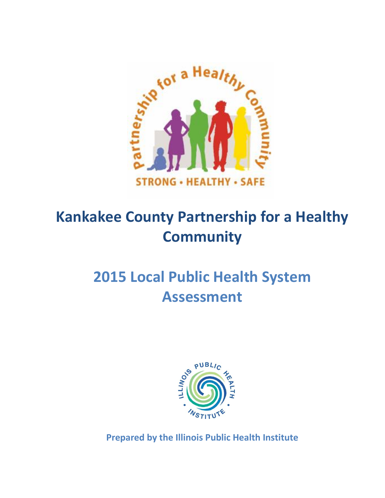

# **Kankakee County Partnership for a Healthy Community**

# **2015 Local Public Health System Assessment**



**Prepared by the Illinois Public Health Institute**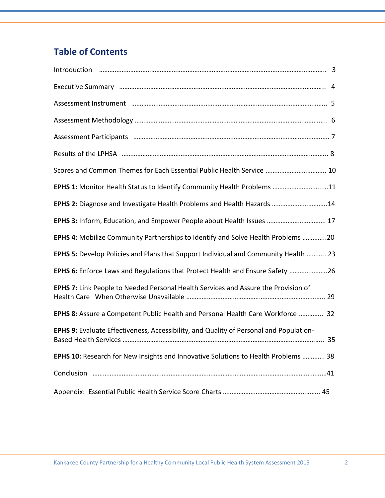# **Table of Contents**

| Assessment Instrument manual manual members of the state of the state of the state of the state of the state o |
|----------------------------------------------------------------------------------------------------------------|
|                                                                                                                |
|                                                                                                                |
|                                                                                                                |
| Scores and Common Themes for Each Essential Public Health Service  10                                          |
| EPHS 1: Monitor Health Status to Identify Community Health Problems 11                                         |
| EPHS 2: Diagnose and Investigate Health Problems and Health Hazards 14                                         |
| EPHS 3: Inform, Education, and Empower People about Health Issues  17                                          |
| EPHS 4: Mobilize Community Partnerships to Identify and Solve Health Problems 20                               |
| EPHS 5: Develop Policies and Plans that Support Individual and Community Health  23                            |
| EPHS 6: Enforce Laws and Regulations that Protect Health and Ensure Safety 26                                  |
| EPHS 7: Link People to Needed Personal Health Services and Assure the Provision of                             |
| EPHS 8: Assure a Competent Public Health and Personal Health Care Workforce  32                                |
| EPHS 9: Evaluate Effectiveness, Accessibility, and Quality of Personal and Population-                         |
| EPHS 10: Research for New Insights and Innovative Solutions to Health Problems  38                             |
|                                                                                                                |
|                                                                                                                |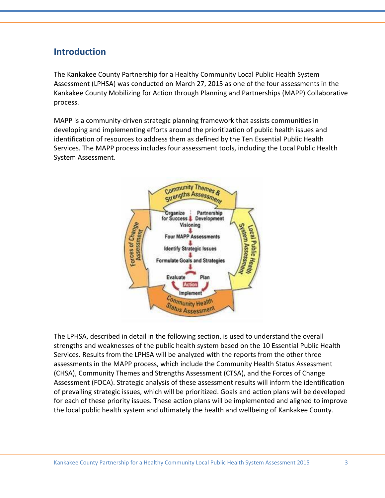### **Introduction**

The Kankakee County Partnership for a Healthy Community Local Public Health System Assessment (LPHSA) was conducted on March 27, 2015 as one of the four assessments in the Kankakee County Mobilizing for Action through Planning and Partnerships (MAPP) Collaborative process.

MAPP is a community-driven strategic planning framework that assists communities in developing and implementing efforts around the prioritization of public health issues and identification of resources to address them as defined by the Ten Essential Public Health Services. The MAPP process includes four assessment tools, including the Local Public Health System Assessment.



The LPHSA, described in detail in the following section, is used to understand the overall strengths and weaknesses of the public health system based on the 10 Essential Public Health Services. Results from the LPHSA will be analyzed with the reports from the other three assessments in the MAPP process, which include the Community Health Status Assessment (CHSA), Community Themes and Strengths Assessment (CTSA), and the Forces of Change Assessment (FOCA). Strategic analysis of these assessment results will inform the identification of prevailing strategic issues, which will be prioritized. Goals and action plans will be developed for each of these priority issues. These action plans will be implemented and aligned to improve the local public health system and ultimately the health and wellbeing of Kankakee County.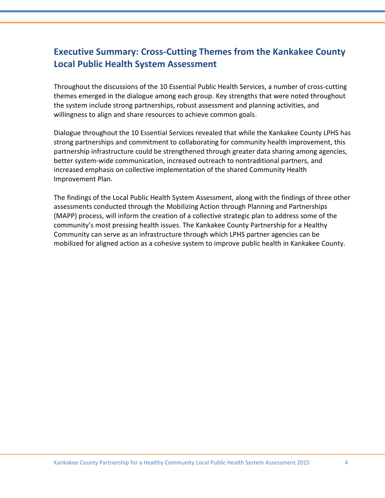# **Executive Summary: Cross-Cutting Themes from the Kankakee County Local Public Health System Assessment**

Throughout the discussions of the 10 Essential Public Health Services, a number of cross-cutting themes emerged in the dialogue among each group. Key strengths that were noted throughout the system include strong partnerships, robust assessment and planning activities, and willingness to align and share resources to achieve common goals.

Dialogue throughout the 10 Essential Services revealed that while the Kankakee County LPHS has strong partnerships and commitment to collaborating for community health improvement, this partnership infrastructure could be strengthened through greater data sharing among agencies, better system-wide communication, increased outreach to nontraditional partners, and increased emphasis on collective implementation of the shared Community Health Improvement Plan.

The findings of the Local Public Health System Assessment, along with the findings of three other assessments conducted through the Mobilizing Action through Planning and Partnerships (MAPP) process, will inform the creation of a collective strategic plan to address some of the community's most pressing health issues. The Kankakee County Partnership for a Healthy Community can serve as an infrastructure through which LPHS partner agencies can be mobilized for aligned action as a cohesive system to improve public health in Kankakee County.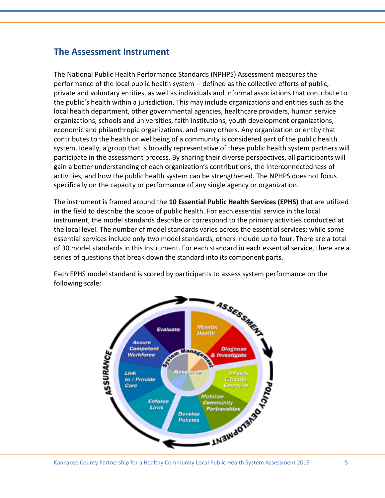### **The Assessment Instrument**

The National Public Health Performance Standards (NPHPS) Assessment measures the performance of the local public health system -- defined as the collective efforts of public, private and voluntary entities, as well as individuals and informal associations that contribute to the public's health within a jurisdiction. This may include organizations and entities such as the local health department, other governmental agencies, healthcare providers, human service organizations, schools and universities, faith institutions, youth development organizations, economic and philanthropic organizations, and many others. Any organization or entity that contributes to the health or wellbeing of a community is considered part of the public health system. Ideally, a group that is broadly representative of these public health system partners will participate in the assessment process. By sharing their diverse perspectives, all participants will gain a better understanding of each organization's contributions, the interconnectedness of activities, and how the public health system can be strengthened. The NPHPS does not focus specifically on the capacity or performance of any single agency or organization.

The instrument is framed around the **10 Essential Public Health Services (EPHS)** that are utilized in the field to describe the scope of public health. For each essential service in the local instrument, the model standards describe or correspond to the primary activities conducted at the local level. The number of model standards varies across the essential services; while some essential services include only two model standards, others include up to four. There are a total of 30 model standards in this instrument. For each standard in each essential service, there are a series of questions that break down the standard into its component parts.

Each EPHS model standard is scored by participants to assess system performance on the following scale:

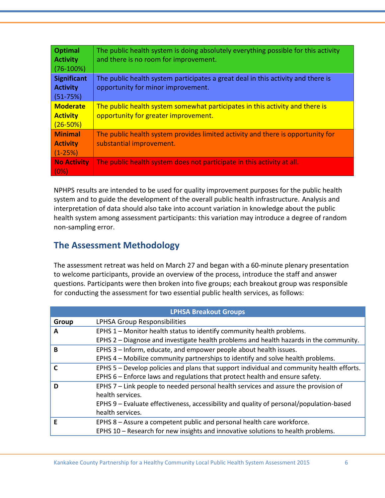| <b>Optimal</b><br><b>Activity</b> | The public health system is doing absolutely everything possible for this activity<br>and there is no room for improvement. |
|-----------------------------------|-----------------------------------------------------------------------------------------------------------------------------|
| $(76-100%)$                       |                                                                                                                             |
| <b>Significant</b>                | The public health system participates a great deal in this activity and there is                                            |
| <b>Activity</b>                   | opportunity for minor improvement.                                                                                          |
| $(51 - 75%)$                      |                                                                                                                             |
| <b>Moderate</b>                   | The public health system somewhat participates in this activity and there is                                                |
| <b>Activity</b>                   | opportunity for greater improvement.                                                                                        |
| $(26 - 50%)$                      |                                                                                                                             |
| <b>Minimal</b>                    | The public health system provides limited activity and there is opportunity for                                             |
| <b>Activity</b>                   | substantial improvement.                                                                                                    |
| $(1-25%)$                         |                                                                                                                             |
| <b>No Activity</b>                | The public health system does not participate in this activity at all.                                                      |
| (0%)                              |                                                                                                                             |

NPHPS results are intended to be used for quality improvement purposes for the public health system and to guide the development of the overall public health infrastructure. Analysis and interpretation of data should also take into account variation in knowledge about the public health system among assessment participants: this variation may introduce a degree of random non-sampling error.

# **The Assessment Methodology**

The assessment retreat was held on March 27 and began with a 60-minute plenary presentation to welcome participants, provide an overview of the process, introduce the staff and answer questions. Participants were then broken into five groups; each breakout group was responsible for conducting the assessment for two essential public health services, as follows:

|              | <b>LPHSA Breakout Groups</b>                                                              |  |  |  |  |
|--------------|-------------------------------------------------------------------------------------------|--|--|--|--|
| Group        | LPHSA Group Responsibilities                                                              |  |  |  |  |
| A            | EPHS 1 - Monitor health status to identify community health problems.                     |  |  |  |  |
|              | EPHS 2 - Diagnose and investigate health problems and health hazards in the community.    |  |  |  |  |
| B            | EPHS 3 - Inform, educate, and empower people about health issues.                         |  |  |  |  |
|              | EPHS 4 – Mobilize community partnerships to identify and solve health problems.           |  |  |  |  |
| $\mathsf{C}$ | EPHS 5 - Develop policies and plans that support individual and community health efforts. |  |  |  |  |
|              | EPHS 6 - Enforce laws and regulations that protect health and ensure safety.              |  |  |  |  |
| D            | EPHS 7 - Link people to needed personal health services and assure the provision of       |  |  |  |  |
|              | health services.                                                                          |  |  |  |  |
|              | EPHS 9 - Evaluate effectiveness, accessibility and quality of personal/population-based   |  |  |  |  |
|              | health services.                                                                          |  |  |  |  |
| F            | EPHS 8 - Assure a competent public and personal health care workforce.                    |  |  |  |  |
|              | EPHS 10 - Research for new insights and innovative solutions to health problems.          |  |  |  |  |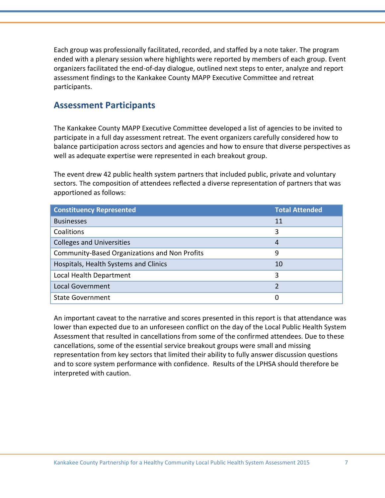Each group was professionally facilitated, recorded, and staffed by a note taker. The program ended with a plenary session where highlights were reported by members of each group. Event organizers facilitated the end-of-day dialogue, outlined next steps to enter, analyze and report assessment findings to the Kankakee County MAPP Executive Committee and retreat participants.

#### **Assessment Participants**

The Kankakee County MAPP Executive Committee developed a list of agencies to be invited to participate in a full day assessment retreat. The event organizers carefully considered how to balance participation across sectors and agencies and how to ensure that diverse perspectives as well as adequate expertise were represented in each breakout group.

The event drew 42 public health system partners that included public, private and voluntary sectors. The composition of attendees reflected a diverse representation of partners that was apportioned as follows:

| <b>Constituency Represented</b>                      | <b>Total Attended</b> |
|------------------------------------------------------|-----------------------|
| <b>Businesses</b>                                    | 11                    |
| Coalitions                                           | 3                     |
| <b>Colleges and Universities</b>                     | 4                     |
| <b>Community-Based Organizations and Non Profits</b> | 9                     |
| Hospitals, Health Systems and Clinics                | 10                    |
| Local Health Department                              | 3                     |
| <b>Local Government</b>                              | フ                     |
| <b>State Government</b>                              | 0                     |

An important caveat to the narrative and scores presented in this report is that attendance was lower than expected due to an unforeseen conflict on the day of the Local Public Health System Assessment that resulted in cancellations from some of the confirmed attendees. Due to these cancellations, some of the essential service breakout groups were small and missing representation from key sectors that limited their ability to fully answer discussion questions and to score system performance with confidence. Results of the LPHSA should therefore be interpreted with caution.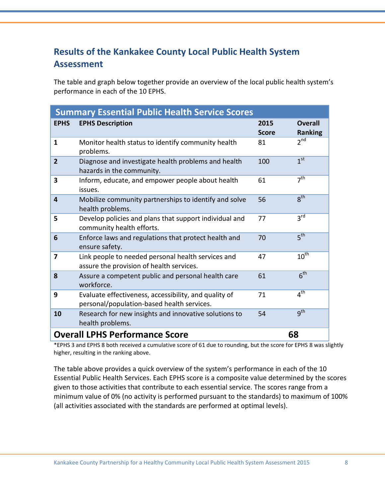# **Results of the Kankakee County Local Public Health System Assessment**

The table and graph below together provide an overview of the local public health system's performance in each of the 10 EPHS.

| <b>Summary Essential Public Health Service Scores</b> |                                                                                                     |                      |                                  |
|-------------------------------------------------------|-----------------------------------------------------------------------------------------------------|----------------------|----------------------------------|
| <b>EPHS</b>                                           | <b>EPHS Description</b>                                                                             | 2015<br><b>Score</b> | <b>Overall</b><br><b>Ranking</b> |
| 1                                                     | Monitor health status to identify community health<br>problems.                                     | 81                   | $2^{nd}$                         |
| $\overline{2}$                                        | Diagnose and investigate health problems and health<br>hazards in the community.                    | 100                  | 1 <sup>st</sup>                  |
| 3                                                     | Inform, educate, and empower people about health<br>issues.                                         | 61                   | 7 <sup>th</sup>                  |
| 4                                                     | Mobilize community partnerships to identify and solve<br>health problems.                           | 56                   | $R^{th}$                         |
| 5                                                     | Develop policies and plans that support individual and<br>community health efforts.                 | 77                   | $3^{\text{rd}}$                  |
| 6                                                     | Enforce laws and regulations that protect health and<br>ensure safety.                              | 70                   | 5 <sup>th</sup>                  |
| 7                                                     | Link people to needed personal health services and<br>assure the provision of health services.      | 47                   | $10^{th}$                        |
| 8                                                     | Assure a competent public and personal health care<br>workforce.                                    | 61                   | 6 <sup>th</sup>                  |
| 9                                                     | Evaluate effectiveness, accessibility, and quality of<br>personal/population-based health services. | 71                   | 4 <sup>th</sup>                  |
| 10                                                    | Research for new insights and innovative solutions to<br>health problems.                           | 54                   | $q^{th}$                         |
| <b>Overall LPHS Performance Score</b><br>68           |                                                                                                     |                      |                                  |

\*EPHS 3 and EPHS 8 both received a cumulative score of 61 due to rounding, but the score for EPHS 8 was slightly higher, resulting in the ranking above.

The table above provides a quick overview of the system's performance in each of the 10 Essential Public Health Services. Each EPHS score is a composite value determined by the scores given to those activities that contribute to each essential service. The scores range from a minimum value of 0% (no activity is performed pursuant to the standards) to maximum of 100% (all activities associated with the standards are performed at optimal levels).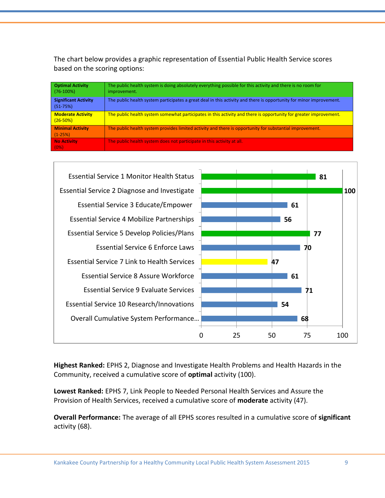The chart below provides a graphic representation of Essential Public Health Service scores based on the scoring options:

| <b>Optimal Activity</b><br>$(76-100%)$    | The public health system is doing absolutely everything possible for this activity and there is no room for<br>improvement. |
|-------------------------------------------|-----------------------------------------------------------------------------------------------------------------------------|
| <b>Significant Activity</b><br>$(51-75%)$ | The public health system participates a great deal in this activity and there is opportunity for minor improvement.         |
| <b>Moderate Activity</b><br>$(26 - 50%)$  | The public health system somewhat participates in this activity and there is opportunity for greater improvement.           |
| <b>Minimal Activity</b><br>$(1-25%)$      | The public health system provides limited activity and there is opportunity for substantial improvement.                    |
| No Activity<br>(0%)                       | The public health system does not participate in this activity at all.                                                      |



**Highest Ranked:** EPHS 2, Diagnose and Investigate Health Problems and Health Hazards in the Community, received a cumulative score of **optimal** activity (100).

**Lowest Ranked:** EPHS 7, Link People to Needed Personal Health Services and Assure the Provision of Health Services, received a cumulative score of **moderate** activity (47).

**Overall Performance:** The average of all EPHS scores resulted in a cumulative score of **significant** activity (68).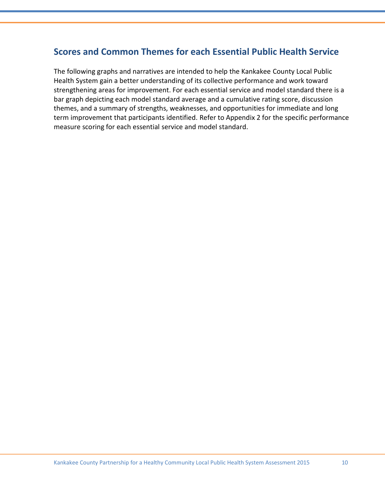# **Scores and Common Themes for each Essential Public Health Service**

The following graphs and narratives are intended to help the Kankakee County Local Public Health System gain a better understanding of its collective performance and work toward strengthening areas for improvement. For each essential service and model standard there is a bar graph depicting each model standard average and a cumulative rating score, discussion themes, and a summary of strengths, weaknesses, and opportunities for immediate and long term improvement that participants identified. Refer to Appendix 2 for the specific performance measure scoring for each essential service and model standard.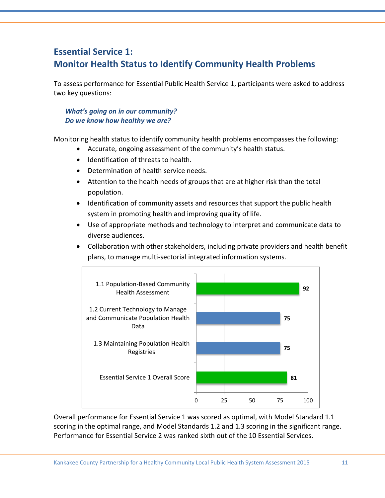# **Essential Service 1: Monitor Health Status to Identify Community Health Problems**

To assess performance for Essential Public Health Service 1, participants were asked to address two key questions:

#### *What's going on in our community? Do we know how healthy we are?*

Monitoring health status to identify community health problems encompasses the following:

- Accurate, ongoing assessment of the community's health status.
- Identification of threats to health.
- Determination of health service needs.
- Attention to the health needs of groups that are at higher risk than the total population.
- Identification of community assets and resources that support the public health system in promoting health and improving quality of life.
- Use of appropriate methods and technology to interpret and communicate data to diverse audiences.
- Collaboration with other stakeholders, including private providers and health benefit plans, to manage multi-sectorial integrated information systems.



Overall performance for Essential Service 1 was scored as optimal, with Model Standard 1.1 scoring in the optimal range, and Model Standards 1.2 and 1.3 scoring in the significant range. Performance for Essential Service 2 was ranked sixth out of the 10 Essential Services.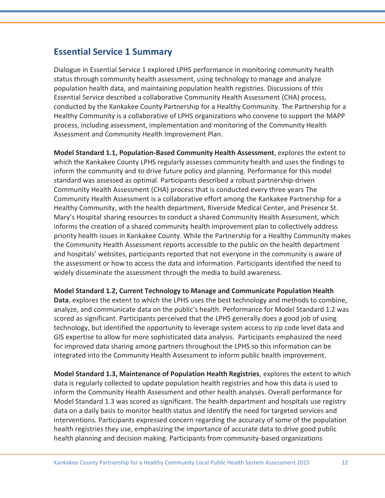### **Essential Service 1 Summary**

Dialogue in Essential Service 1 explored LPHS performance in monitoring community health status through community health assessment, using technology to manage and analyze population health data, and maintaining population health registries. Discussions of this Essential Service described a collaborative Community Health Assessment (CHA) process, conducted by the Kankakee County Partnership for a Healthy Community. The Partnership for a Healthy Community is a collaborative of LPHS organizations who convene to support the MAPP process, including assessment, implementation and monitoring of the Community Health Assessment and Community Health Improvement Plan.

**Model Standard 1.1, Population-Based Community Health Assessment**, explores the extent to which the Kankakee County LPHS regularly assesses community health and uses the findings to inform the community and to drive future policy and planning. Performance for this model standard was assessed as optimal. Participants described a robust partnership-driven Community Health Assessment (CHA) process that is conducted every three years The Community Health Assessment is a collaborative effort among the Kankakee Partnership for a Healthy Community, with the health department, Riverside Medical Center, and Presence St. Mary's Hospital sharing resources to conduct a shared Community Health Assessment, which informs the creation of a shared community health improvement plan to collectively address priority health issues in Kankakee County. While the Partnership for a Healthy Community makes the Community Health Assessment reports accessible to the public on the health department and hospitals' websites, participants reported that not everyone in the community is aware of the assessment or how to access the data and information. Participants identified the need to widely disseminate the assessment through the media to build awareness.

**Model Standard 1.2, Current Technology to Manage and Communicate Population Health Data**, explores the extent to which the LPHS uses the best technology and methods to combine, analyze, and communicate data on the public's health. Performance for Model Standard 1.2 was scored as significant. Participants perceived that the LPHS generally does a good job of using technology, but identified the opportunity to leverage system access to zip code level data and GIS expertise to allow for more sophisticated data analysis. Participants emphasized the need for improved data sharing among partners throughout the LPHS so this information can be integrated into the Community Health Assessment to inform public health improvement.

**Model Standard 1.3, Maintenance of Population Health Registries**, explores the extent to which data is regularly collected to update population health registries and how this data is used to inform the Community Health Assessment and other health analyses. Overall performance for Model Standard 1.3 was scored as significant. The health department and hospitals use registry data on a daily basis to monitor health status and identify the need for targeted services and interventions. Participants expressed concern regarding the accuracy of some of the population health registries they use, emphasizing the importance of accurate data to drive good public health planning and decision making. Participants from community-based organizations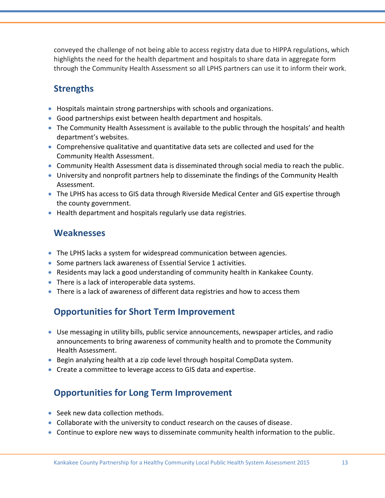conveyed the challenge of not being able to access registry data due to HIPPA regulations, which highlights the need for the health department and hospitals to share data in aggregate form through the Community Health Assessment so all LPHS partners can use it to inform their work.

# **Strengths**

- Hospitals maintain strong partnerships with schools and organizations.
- Good partnerships exist between health department and hospitals.
- The Community Health Assessment is available to the public through the hospitals' and health department's websites.
- Comprehensive qualitative and quantitative data sets are collected and used for the Community Health Assessment.
- Community Health Assessment data is disseminated through social media to reach the public.
- University and nonprofit partners help to disseminate the findings of the Community Health Assessment.
- The LPHS has access to GIS data through Riverside Medical Center and GIS expertise through the county government.
- Health department and hospitals regularly use data registries.

### **Weaknesses**

- The LPHS lacks a system for widespread communication between agencies.
- Some partners lack awareness of Essential Service 1 activities.
- Residents may lack a good understanding of community health in Kankakee County.
- There is a lack of interoperable data systems.
- There is a lack of awareness of different data registries and how to access them

# **Opportunities for Short Term Improvement**

- Use messaging in utility bills, public service announcements, newspaper articles, and radio announcements to bring awareness of community health and to promote the Community Health Assessment.
- **Begin analyzing health at a zip code level through hospital CompData system.**
- Create a committee to leverage access to GIS data and expertise.

# **Opportunities for Long Term Improvement**

- Seek new data collection methods.
- Collaborate with the university to conduct research on the causes of disease.
- Continue to explore new ways to disseminate community health information to the public.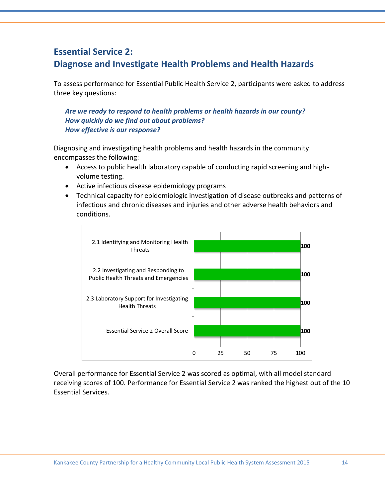# **Essential Service 2: Diagnose and Investigate Health Problems and Health Hazards**

To assess performance for Essential Public Health Service 2, participants were asked to address three key questions:

#### *Are we ready to respond to health problems or health hazards in our county? How quickly do we find out about problems? How effective is our response?*

Diagnosing and investigating health problems and health hazards in the community encompasses the following:

- Access to public health laboratory capable of conducting rapid screening and highvolume testing.
- Active infectious disease epidemiology programs
- Technical capacity for epidemiologic investigation of disease outbreaks and patterns of infectious and chronic diseases and injuries and other adverse health behaviors and conditions.



Overall performance for Essential Service 2 was scored as optimal, with all model standard receiving scores of 100. Performance for Essential Service 2 was ranked the highest out of the 10 Essential Services.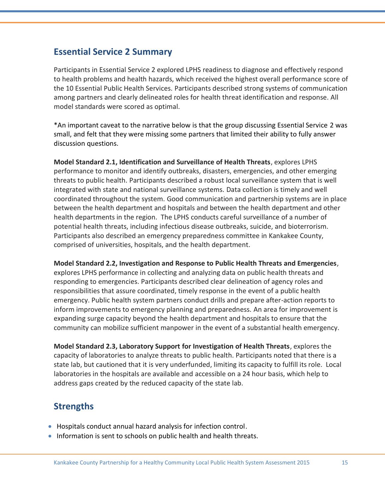### **Essential Service 2 Summary**

Participants in Essential Service 2 explored LPHS readiness to diagnose and effectively respond to health problems and health hazards, which received the highest overall performance score of the 10 Essential Public Health Services. Participants described strong systems of communication among partners and clearly delineated roles for health threat identification and response. All model standards were scored as optimal.

\*An important caveat to the narrative below is that the group discussing Essential Service 2 was small, and felt that they were missing some partners that limited their ability to fully answer discussion questions.

**Model Standard 2.1, Identification and Surveillance of Health Threats**, explores LPHS performance to monitor and identify outbreaks, disasters, emergencies, and other emerging threats to public health. Participants described a robust local surveillance system that is well integrated with state and national surveillance systems. Data collection is timely and well coordinated throughout the system. Good communication and partnership systems are in place between the health department and hospitals and between the health department and other health departments in the region. The LPHS conducts careful surveillance of a number of potential health threats, including infectious disease outbreaks, suicide, and bioterrorism. Participants also described an emergency preparedness committee in Kankakee County, comprised of universities, hospitals, and the health department.

**Model Standard 2.2, Investigation and Response to Public Health Threats and Emergencies**, explores LPHS performance in collecting and analyzing data on public health threats and responding to emergencies. Participants described clear delineation of agency roles and responsibilities that assure coordinated, timely response in the event of a public health emergency. Public health system partners conduct drills and prepare after-action reports to inform improvements to emergency planning and preparedness. An area for improvement is expanding surge capacity beyond the health department and hospitals to ensure that the community can mobilize sufficient manpower in the event of a substantial health emergency.

**Model Standard 2.3, Laboratory Support for Investigation of Health Threats**, explores the capacity of laboratories to analyze threats to public health. Participants noted that there is a state lab, but cautioned that it is very underfunded, limiting its capacity to fulfill its role. Local laboratories in the hospitals are available and accessible on a 24 hour basis, which help to address gaps created by the reduced capacity of the state lab.

# **Strengths**

- Hospitals conduct annual hazard analysis for infection control.
- Information is sent to schools on public health and health threats.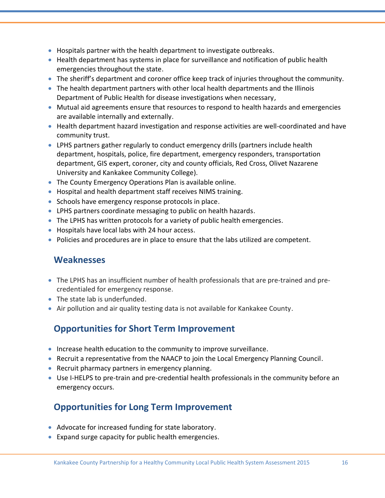- $\bullet$  Hospitals partner with the health department to investigate outbreaks.
- Health department has systems in place for surveillance and notification of public health emergencies throughout the state.
- The sheriff's department and coroner office keep track of injuries throughout the community.
- The health department partners with other local health departments and the Illinois Department of Public Health for disease investigations when necessary,
- Mutual aid agreements ensure that resources to respond to health hazards and emergencies are available internally and externally.
- Health department hazard investigation and response activities are well-coordinated and have community trust.
- LPHS partners gather regularly to conduct emergency drills (partners include health department, hospitals, police, fire department, emergency responders, transportation department, GIS expert, coroner, city and county officials, Red Cross, Olivet Nazarene University and Kankakee Community College).
- The County Emergency Operations Plan is available online.
- Hospital and health department staff receives NIMS training.
- Schools have emergency response protocols in place.
- LPHS partners coordinate messaging to public on health hazards.
- The LPHS has written protocols for a variety of public health emergencies.
- Hospitals have local labs with 24 hour access.
- Policies and procedures are in place to ensure that the labs utilized are competent.

#### **Weaknesses**

- The LPHS has an insufficient number of health professionals that are pre-trained and precredentialed for emergency response.
- The state lab is underfunded.
- Air pollution and air quality testing data is not available for Kankakee County.

# **Opportunities for Short Term Improvement**

- Increase health education to the community to improve surveillance.
- Recruit a representative from the NAACP to join the Local Emergency Planning Council.
- Recruit pharmacy partners in emergency planning.
- Use I-HELPS to pre-train and pre-credential health professionals in the community before an emergency occurs.

# **Opportunities for Long Term Improvement**

- Advocate for increased funding for state laboratory.
- Expand surge capacity for public health emergencies.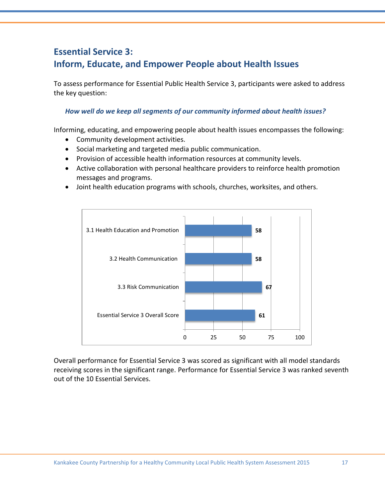# **Essential Service 3: Inform, Educate, and Empower People about Health Issues**

To assess performance for Essential Public Health Service 3, participants were asked to address the key question:

#### *How well do we keep all segments of our community informed about health issues?*

Informing, educating, and empowering people about health issues encompasses the following:

- Community development activities.
- Social marketing and targeted media public communication.
- Provision of accessible health information resources at community levels.
- Active collaboration with personal healthcare providers to reinforce health promotion messages and programs.
- Joint health education programs with schools, churches, worksites, and others.



Overall performance for Essential Service 3 was scored as significant with all model standards receiving scores in the significant range. Performance for Essential Service 3 was ranked seventh out of the 10 Essential Services.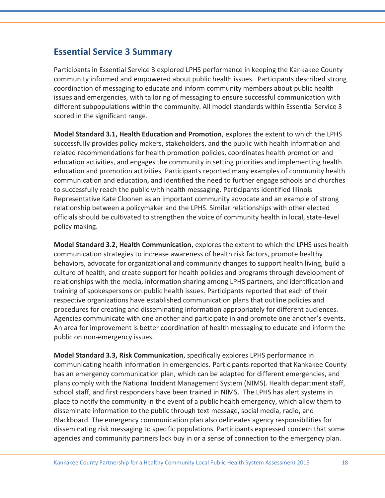### **Essential Service 3 Summary**

Participants in Essential Service 3 explored LPHS performance in keeping the Kankakee County community informed and empowered about public health issues. Participants described strong coordination of messaging to educate and inform community members about public health issues and emergencies, with tailoring of messaging to ensure successful communication with different subpopulations within the community. All model standards within Essential Service 3 scored in the significant range.

**Model Standard 3.1, Health Education and Promotion**, explores the extent to which the LPHS successfully provides policy makers, stakeholders, and the public with health information and related recommendations for health promotion policies, coordinates health promotion and education activities, and engages the community in setting priorities and implementing health education and promotion activities. Participants reported many examples of community health communication and education, and identified the need to further engage schools and churches to successfully reach the public with health messaging. Participants identified Illinois Representative Kate Cloonen as an important community advocate and an example of strong relationship between a policymaker and the LPHS. Similar relationships with other elected officials should be cultivated to strengthen the voice of community health in local, state-level policy making.

**Model Standard 3.2, Health Communication**, explores the extent to which the LPHS uses health communication strategies to increase awareness of health risk factors, promote healthy behaviors, advocate for organizational and community changes to support health living, build a culture of health, and create support for health policies and programs through development of relationships with the media, information sharing among LPHS partners, and identification and training of spokespersons on public health issues. Participants reported that each of their respective organizations have established communication plans that outline policies and procedures for creating and disseminating information appropriately for different audiences. Agencies communicate with one another and participate in and promote one another's events. An area for improvement is better coordination of health messaging to educate and inform the public on non-emergency issues.

**Model Standard 3.3, Risk Communication**, specifically explores LPHS performance in communicating health information in emergencies. Participants reported that Kankakee County has an emergency communication plan, which can be adapted for different emergencies, and plans comply with the National Incident Management System (NIMS). Health department staff, school staff, and first responders have been trained in NIMS. The LPHS has alert systems in place to notify the community in the event of a public health emergency, which allow them to disseminate information to the public through text message, social media, radio, and Blackboard. The emergency communication plan also delineates agency responsibilities for disseminating risk messaging to specific populations. Participants expressed concern that some agencies and community partners lack buy in or a sense of connection to the emergency plan.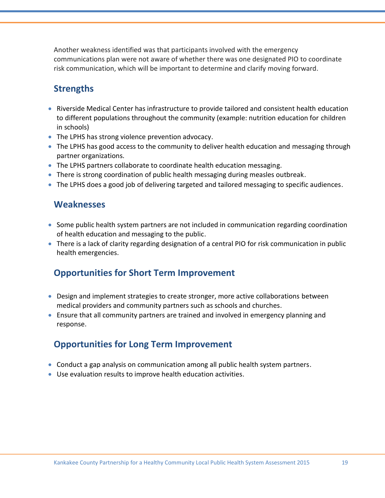Another weakness identified was that participants involved with the emergency communications plan were not aware of whether there was one designated PIO to coordinate risk communication, which will be important to determine and clarify moving forward.

# **Strengths**

- Riverside Medical Center has infrastructure to provide tailored and consistent health education to different populations throughout the community (example: nutrition education for children in schools)
- The LPHS has strong violence prevention advocacy.
- The LPHS has good access to the community to deliver health education and messaging through partner organizations.
- The LPHS partners collaborate to coordinate health education messaging.
- **There is strong coordination of public health messaging during measles outbreak.**
- The LPHS does a good job of delivering targeted and tailored messaging to specific audiences.

### **Weaknesses**

- Some public health system partners are not included in communication regarding coordination of health education and messaging to the public.
- There is a lack of clarity regarding designation of a central PIO for risk communication in public health emergencies.

# **Opportunities for Short Term Improvement**

- Design and implement strategies to create stronger, more active collaborations between medical providers and community partners such as schools and churches.
- Ensure that all community partners are trained and involved in emergency planning and response.

# **Opportunities for Long Term Improvement**

- Conduct a gap analysis on communication among all public health system partners.
- Use evaluation results to improve health education activities.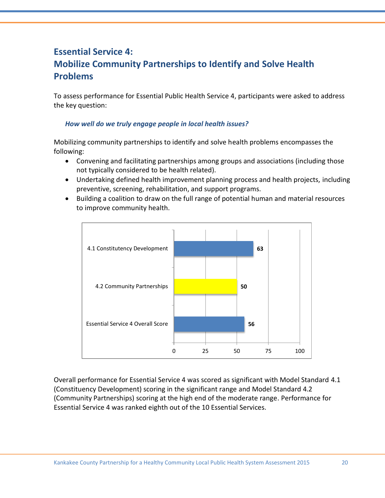# **Essential Service 4: Mobilize Community Partnerships to Identify and Solve Health Problems**

To assess performance for Essential Public Health Service 4, participants were asked to address the key question:

#### *How well do we truly engage people in local health issues?*

Mobilizing community partnerships to identify and solve health problems encompasses the following:

- Convening and facilitating partnerships among groups and associations (including those not typically considered to be health related).
- Undertaking defined health improvement planning process and health projects, including preventive, screening, rehabilitation, and support programs.
- Building a coalition to draw on the full range of potential human and material resources to improve community health.



Overall performance for Essential Service 4 was scored as significant with Model Standard 4.1 (Constituency Development) scoring in the significant range and Model Standard 4.2 (Community Partnerships) scoring at the high end of the moderate range. Performance for Essential Service 4 was ranked eighth out of the 10 Essential Services.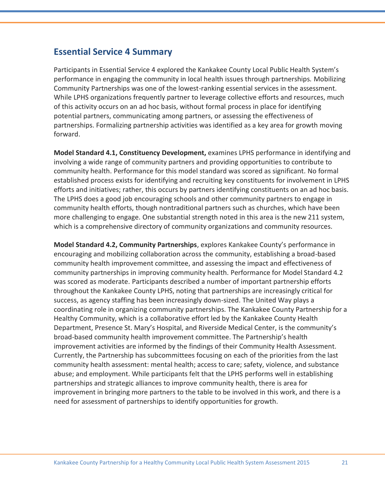### **Essential Service 4 Summary**

Participants in Essential Service 4 explored the Kankakee County Local Public Health System's performance in engaging the community in local health issues through partnerships. Mobilizing Community Partnerships was one of the lowest-ranking essential services in the assessment. While LPHS organizations frequently partner to leverage collective efforts and resources, much of this activity occurs on an ad hoc basis, without formal process in place for identifying potential partners, communicating among partners, or assessing the effectiveness of partnerships. Formalizing partnership activities was identified as a key area for growth moving forward.

**Model Standard 4.1, Constituency Development,** examines LPHS performance in identifying and involving a wide range of community partners and providing opportunities to contribute to community health. Performance for this model standard was scored as significant. No formal established process exists for identifying and recruiting key constituents for involvement in LPHS efforts and initiatives; rather, this occurs by partners identifying constituents on an ad hoc basis. The LPHS does a good job encouraging schools and other community partners to engage in community health efforts, though nontraditional partners such as churches, which have been more challenging to engage. One substantial strength noted in this area is the new 211 system, which is a comprehensive directory of community organizations and community resources.

**Model Standard 4.2, Community Partnerships**, explores Kankakee County's performance in encouraging and mobilizing collaboration across the community, establishing a broad-based community health improvement committee, and assessing the impact and effectiveness of community partnerships in improving community health. Performance for Model Standard 4.2 was scored as moderate. Participants described a number of important partnership efforts throughout the Kankakee County LPHS, noting that partnerships are increasingly critical for success, as agency staffing has been increasingly down-sized. The United Way plays a coordinating role in organizing community partnerships. The Kankakee County Partnership for a Healthy Community, which is a collaborative effort led by the Kankakee County Health Department, Presence St. Mary's Hospital, and Riverside Medical Center, is the community's broad-based community health improvement committee. The Partnership's health improvement activities are informed by the findings of their Community Health Assessment. Currently, the Partnership has subcommittees focusing on each of the priorities from the last community health assessment: mental health; access to care; safety, violence, and substance abuse; and employment. While participants felt that the LPHS performs well in establishing partnerships and strategic alliances to improve community health, there is area for improvement in bringing more partners to the table to be involved in this work, and there is a need for assessment of partnerships to identify opportunities for growth.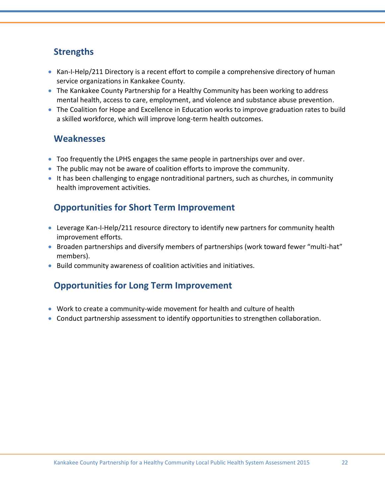# **Strengths**

- Kan-I-Help/211 Directory is a recent effort to compile a comprehensive directory of human service organizations in Kankakee County.
- The Kankakee County Partnership for a Healthy Community has been working to address mental health, access to care, employment, and violence and substance abuse prevention.
- The Coalition for Hope and Excellence in Education works to improve graduation rates to build a skilled workforce, which will improve long-term health outcomes.

### **Weaknesses**

- Too frequently the LPHS engages the same people in partnerships over and over.
- The public may not be aware of coalition efforts to improve the community.
- It has been challenging to engage nontraditional partners, such as churches, in community health improvement activities.

# **Opportunities for Short Term Improvement**

- Leverage Kan-I-Help/211 resource directory to identify new partners for community health improvement efforts.
- Broaden partnerships and diversify members of partnerships (work toward fewer "multi-hat" members).
- Build community awareness of coalition activities and initiatives.

# **Opportunities for Long Term Improvement**

- Work to create a community-wide movement for health and culture of health
- Conduct partnership assessment to identify opportunities to strengthen collaboration.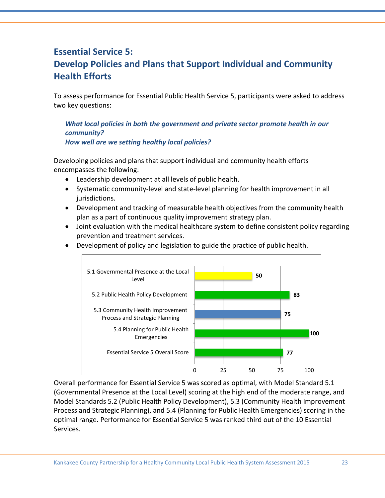# **Essential Service 5: Develop Policies and Plans that Support Individual and Community Health Efforts**

To assess performance for Essential Public Health Service 5, participants were asked to address two key questions:

*What local policies in both the government and private sector promote health in our community? How well are we setting healthy local policies?* 

Developing policies and plans that support individual and community health efforts encompasses the following:

- Leadership development at all levels of public health.
- Systematic community-level and state-level planning for health improvement in all jurisdictions.
- Development and tracking of measurable health objectives from the community health plan as a part of continuous quality improvement strategy plan.
- Joint evaluation with the medical healthcare system to define consistent policy regarding prevention and treatment services.



Development of policy and legislation to guide the practice of public health.

Overall performance for Essential Service 5 was scored as optimal, with Model Standard 5.1 (Governmental Presence at the Local Level) scoring at the high end of the moderate range, and Model Standards 5.2 (Public Health Policy Development), 5.3 (Community Health Improvement Process and Strategic Planning), and 5.4 (Planning for Public Health Emergencies) scoring in the optimal range. Performance for Essential Service 5 was ranked third out of the 10 Essential Services.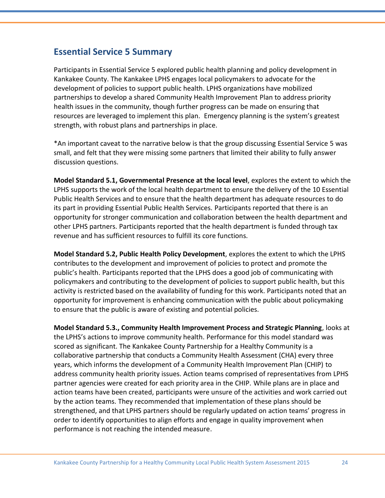### **Essential Service 5 Summary**

Participants in Essential Service 5 explored public health planning and policy development in Kankakee County. The Kankakee LPHS engages local policymakers to advocate for the development of policies to support public health. LPHS organizations have mobilized partnerships to develop a shared Community Health Improvement Plan to address priority health issues in the community, though further progress can be made on ensuring that resources are leveraged to implement this plan. Emergency planning is the system's greatest strength, with robust plans and partnerships in place.

\*An important caveat to the narrative below is that the group discussing Essential Service 5 was small, and felt that they were missing some partners that limited their ability to fully answer discussion questions.

**Model Standard 5.1, Governmental Presence at the local level**, explores the extent to which the LPHS supports the work of the local health department to ensure the delivery of the 10 Essential Public Health Services and to ensure that the health department has adequate resources to do its part in providing Essential Public Health Services. Participants reported that there is an opportunity for stronger communication and collaboration between the health department and other LPHS partners. Participants reported that the health department is funded through tax revenue and has sufficient resources to fulfill its core functions.

**Model Standard 5.2, Public Health Policy Development**, explores the extent to which the LPHS contributes to the development and improvement of policies to protect and promote the public's health. Participants reported that the LPHS does a good job of communicating with policymakers and contributing to the development of policies to support public health, but this activity is restricted based on the availability of funding for this work. Participants noted that an opportunity for improvement is enhancing communication with the public about policymaking to ensure that the public is aware of existing and potential policies.

**Model Standard 5.3., Community Health Improvement Process and Strategic Planning**, looks at the LPHS's actions to improve community health. Performance for this model standard was scored as significant. The Kankakee County Partnership for a Healthy Community is a collaborative partnership that conducts a Community Health Assessment (CHA) every three years, which informs the development of a Community Health Improvement Plan (CHIP) to address community health priority issues. Action teams comprised of representatives from LPHS partner agencies were created for each priority area in the CHIP. While plans are in place and action teams have been created, participants were unsure of the activities and work carried out by the action teams. They recommended that implementation of these plans should be strengthened, and that LPHS partners should be regularly updated on action teams' progress in order to identify opportunities to align efforts and engage in quality improvement when performance is not reaching the intended measure.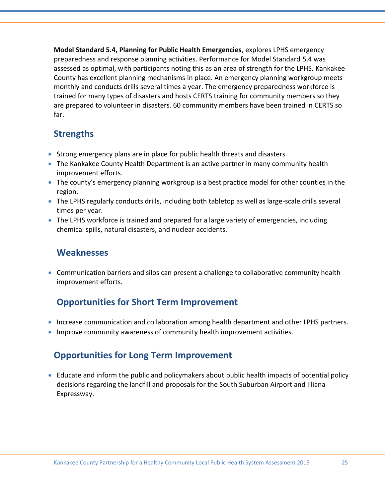**Model Standard 5.4, Planning for Public Health Emergencies**, explores LPHS emergency preparedness and response planning activities. Performance for Model Standard 5.4 was assessed as optimal, with participants noting this as an area of strength for the LPHS. Kankakee County has excellent planning mechanisms in place. An emergency planning workgroup meets monthly and conducts drills several times a year. The emergency preparedness workforce is trained for many types of disasters and hosts CERTS training for community members so they are prepared to volunteer in disasters. 60 community members have been trained in CERTS so far.

# **Strengths**

- Strong emergency plans are in place for public health threats and disasters.
- The Kankakee County Health Department is an active partner in many community health improvement efforts.
- The county's emergency planning workgroup is a best practice model for other counties in the region.
- The LPHS regularly conducts drills, including both tabletop as well as large-scale drills several times per year.
- The LPHS workforce is trained and prepared for a large variety of emergencies, including chemical spills, natural disasters, and nuclear accidents.

#### **Weaknesses**

 Communication barriers and silos can present a challenge to collaborative community health improvement efforts.

# **Opportunities for Short Term Improvement**

- Increase communication and collaboration among health department and other LPHS partners.
- Improve community awareness of community health improvement activities.

# **Opportunities for Long Term Improvement**

 Educate and inform the public and policymakers about public health impacts of potential policy decisions regarding the landfill and proposals for the South Suburban Airport and Illiana Expressway.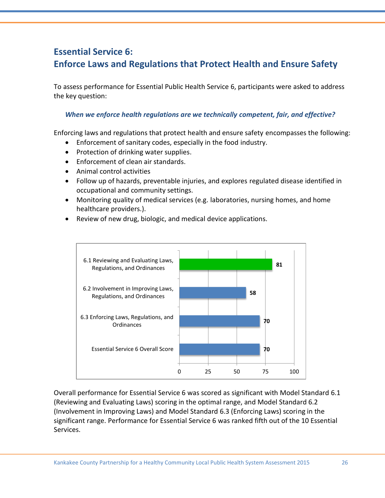# **Essential Service 6: Enforce Laws and Regulations that Protect Health and Ensure Safety**

To assess performance for Essential Public Health Service 6, participants were asked to address the key question:

#### *When we enforce health regulations are we technically competent, fair, and effective?*

Enforcing laws and regulations that protect health and ensure safety encompasses the following:

- Enforcement of sanitary codes, especially in the food industry.
- Protection of drinking water supplies.
- Enforcement of clean air standards.
- Animal control activities
- Follow up of hazards, preventable injuries, and explores regulated disease identified in occupational and community settings.
- Monitoring quality of medical services (e.g. laboratories, nursing homes, and home healthcare providers.).
- Review of new drug, biologic, and medical device applications.



Overall performance for Essential Service 6 was scored as significant with Model Standard 6.1 (Reviewing and Evaluating Laws) scoring in the optimal range, and Model Standard 6.2 (Involvement in Improving Laws) and Model Standard 6.3 (Enforcing Laws) scoring in the significant range. Performance for Essential Service 6 was ranked fifth out of the 10 Essential Services.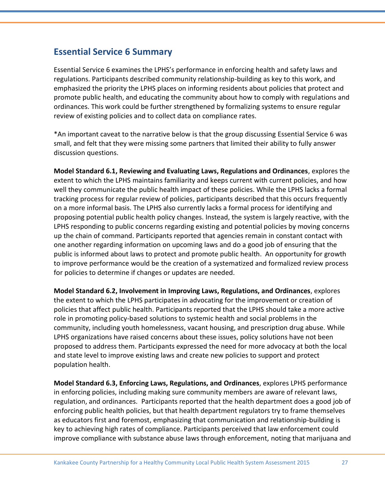### **Essential Service 6 Summary**

Essential Service 6 examines the LPHS's performance in enforcing health and safety laws and regulations. Participants described community relationship-building as key to this work, and emphasized the priority the LPHS places on informing residents about policies that protect and promote public health, and educating the community about how to comply with regulations and ordinances. This work could be further strengthened by formalizing systems to ensure regular review of existing policies and to collect data on compliance rates.

\*An important caveat to the narrative below is that the group discussing Essential Service 6 was small, and felt that they were missing some partners that limited their ability to fully answer discussion questions.

**Model Standard 6.1, Reviewing and Evaluating Laws, Regulations and Ordinances**, explores the extent to which the LPHS maintains familiarity and keeps current with current policies, and how well they communicate the public health impact of these policies. While the LPHS lacks a formal tracking process for regular review of policies, participants described that this occurs frequently on a more informal basis. The LPHS also currently lacks a formal process for identifying and proposing potential public health policy changes. Instead, the system is largely reactive, with the LPHS responding to public concerns regarding existing and potential policies by moving concerns up the chain of command. Participants reported that agencies remain in constant contact with one another regarding information on upcoming laws and do a good job of ensuring that the public is informed about laws to protect and promote public health. An opportunity for growth to improve performance would be the creation of a systematized and formalized review process for policies to determine if changes or updates are needed.

**Model Standard 6.2, Involvement in Improving Laws, Regulations, and Ordinances**, explores the extent to which the LPHS participates in advocating for the improvement or creation of policies that affect public health. Participants reported that the LPHS should take a more active role in promoting policy-based solutions to systemic health and social problems in the community, including youth homelessness, vacant housing, and prescription drug abuse. While LPHS organizations have raised concerns about these issues, policy solutions have not been proposed to address them. Participants expressed the need for more advocacy at both the local and state level to improve existing laws and create new policies to support and protect population health.

**Model Standard 6.3, Enforcing Laws, Regulations, and Ordinances**, explores LPHS performance in enforcing policies, including making sure community members are aware of relevant laws, regulation, and ordinances. Participants reported that the health department does a good job of enforcing public health policies, but that health department regulators try to frame themselves as educators first and foremost, emphasizing that communication and relationship-building is key to achieving high rates of compliance. Participants perceived that law enforcement could improve compliance with substance abuse laws through enforcement, noting that marijuana and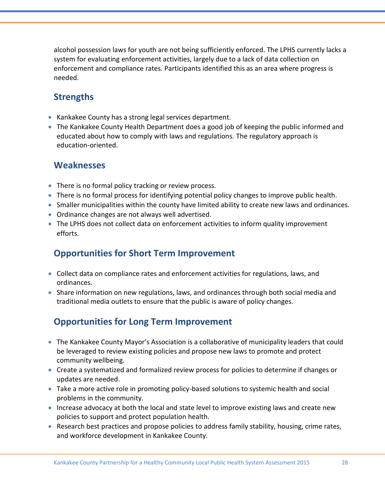alcohol possession laws for youth are not being sufficiently enforced. The LPHS currently lacks a system for evaluating enforcement activities, largely due to a lack of data collection on enforcement and compliance rates. Participants identified this as an area where progress is needed.

### **Strengths**

- Kankakee County has a strong legal services department.
- The Kankakee County Health Department does a good job of keeping the public informed and educated about how to comply with laws and regulations. The regulatory approach is education-oriented.

#### **Weaknesses**

- There is no formal policy tracking or review process.
- There is no formal process for identifying potential policy changes to improve public health.
- Smaller municipalities within the county have limited ability to create new laws and ordinances.
- Ordinance changes are not always well advertised.
- The LPHS does not collect data on enforcement activities to inform quality improvement efforts.

# **Opportunities for Short Term Improvement**

- Collect data on compliance rates and enforcement activities for regulations, laws, and ordinances.
- Share information on new regulations, laws, and ordinances through both social media and traditional media outlets to ensure that the public is aware of policy changes.

# **Opportunities for Long Term Improvement**

- The Kankakee County Mayor's Association is a collaborative of municipality leaders that could be leveraged to review existing policies and propose new laws to promote and protect community wellbeing.
- Create a systematized and formalized review process for policies to determine if changes or updates are needed.
- Take a more active role in promoting policy-based solutions to systemic health and social problems in the community.
- Increase advocacy at both the local and state level to improve existing laws and create new policies to support and protect population health.
- Research best practices and propose policies to address family stability, housing, crime rates, and workforce development in Kankakee County.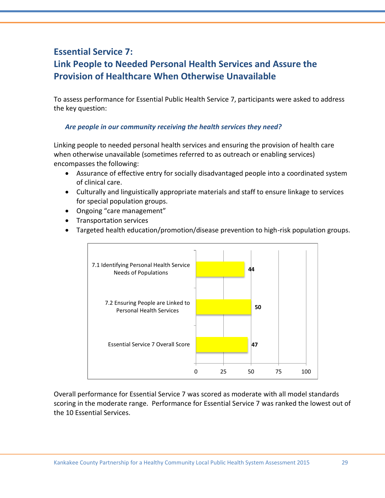# **Essential Service 7: Link People to Needed Personal Health Services and Assure the Provision of Healthcare When Otherwise Unavailable**

To assess performance for Essential Public Health Service 7, participants were asked to address the key question:

#### *Are people in our community receiving the health services they need?*

Linking people to needed personal health services and ensuring the provision of health care when otherwise unavailable (sometimes referred to as outreach or enabling services) encompasses the following:

- Assurance of effective entry for socially disadvantaged people into a coordinated system of clinical care.
- Culturally and linguistically appropriate materials and staff to ensure linkage to services for special population groups.
- Ongoing "care management"
- Transportation services
- Targeted health education/promotion/disease prevention to high-risk population groups.



Overall performance for Essential Service 7 was scored as moderate with all model standards scoring in the moderate range. Performance for Essential Service 7 was ranked the lowest out of the 10 Essential Services.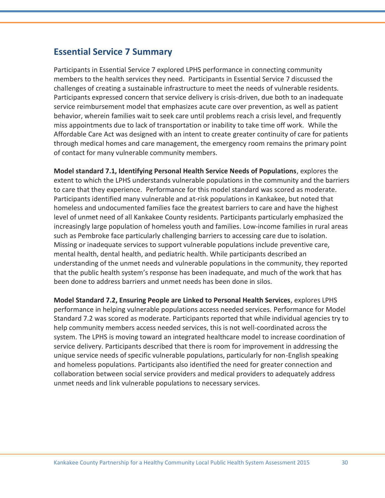### **Essential Service 7 Summary**

Participants in Essential Service 7 explored LPHS performance in connecting community members to the health services they need. Participants in Essential Service 7 discussed the challenges of creating a sustainable infrastructure to meet the needs of vulnerable residents. Participants expressed concern that service delivery is crisis-driven, due both to an inadequate service reimbursement model that emphasizes acute care over prevention, as well as patient behavior, wherein families wait to seek care until problems reach a crisis level, and frequently miss appointments due to lack of transportation or inability to take time off work. While the Affordable Care Act was designed with an intent to create greater continuity of care for patients through medical homes and care management, the emergency room remains the primary point of contact for many vulnerable community members.

**Model standard 7.1, Identifying Personal Health Service Needs of Populations**, explores the extent to which the LPHS understands vulnerable populations in the community and the barriers to care that they experience. Performance for this model standard was scored as moderate. Participants identified many vulnerable and at-risk populations in Kankakee, but noted that homeless and undocumented families face the greatest barriers to care and have the highest level of unmet need of all Kankakee County residents. Participants particularly emphasized the increasingly large population of homeless youth and families. Low-income families in rural areas such as Pembroke face particularly challenging barriers to accessing care due to isolation. Missing or inadequate services to support vulnerable populations include preventive care, mental health, dental health, and pediatric health. While participants described an understanding of the unmet needs and vulnerable populations in the community, they reported that the public health system's response has been inadequate, and much of the work that has been done to address barriers and unmet needs has been done in silos.

**Model Standard 7.2, Ensuring People are Linked to Personal Health Services**, explores LPHS performance in helping vulnerable populations access needed services. Performance for Model Standard 7.2 was scored as moderate. Participants reported that while individual agencies try to help community members access needed services, this is not well-coordinated across the system. The LPHS is moving toward an integrated healthcare model to increase coordination of service delivery. Participants described that there is room for improvement in addressing the unique service needs of specific vulnerable populations, particularly for non-English speaking and homeless populations. Participants also identified the need for greater connection and collaboration between social service providers and medical providers to adequately address unmet needs and link vulnerable populations to necessary services.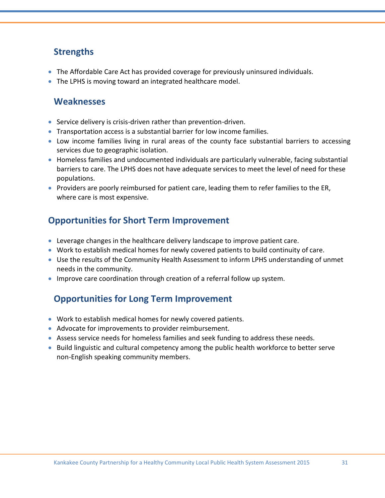# **Strengths**

- The Affordable Care Act has provided coverage for previously uninsured individuals.
- The LPHS is moving toward an integrated healthcare model.

### **Weaknesses**

- Service delivery is crisis-driven rather than prevention-driven.
- Transportation access is a substantial barrier for low income families.
- Low income families living in rural areas of the county face substantial barriers to accessing services due to geographic isolation.
- Homeless families and undocumented individuals are particularly vulnerable, facing substantial barriers to care. The LPHS does not have adequate services to meet the level of need for these populations.
- **Providers are poorly reimbursed for patient care, leading them to refer families to the ER,** where care is most expensive.

# **Opportunities for Short Term Improvement**

- Leverage changes in the healthcare delivery landscape to improve patient care.
- Work to establish medical homes for newly covered patients to build continuity of care.
- Use the results of the Community Health Assessment to inform LPHS understanding of unmet needs in the community.
- Improve care coordination through creation of a referral follow up system.

# **Opportunities for Long Term Improvement**

- Work to establish medical homes for newly covered patients.
- Advocate for improvements to provider reimbursement.
- Assess service needs for homeless families and seek funding to address these needs.
- **Build linguistic and cultural competency among the public health workforce to better serve** non-English speaking community members.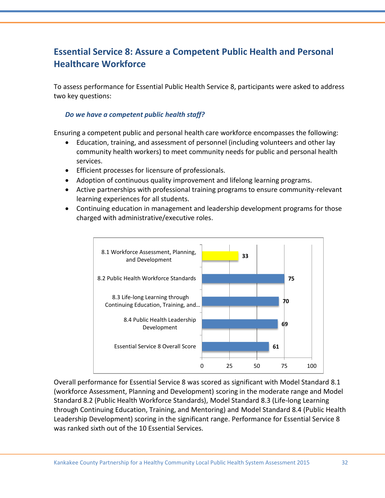# **Essential Service 8: Assure a Competent Public Health and Personal Healthcare Workforce**

To assess performance for Essential Public Health Service 8, participants were asked to address two key questions:

#### *Do we have a competent public health staff?*

Ensuring a competent public and personal health care workforce encompasses the following:

- Education, training, and assessment of personnel (including volunteers and other lay community health workers) to meet community needs for public and personal health services.
- **•** Efficient processes for licensure of professionals.
- Adoption of continuous quality improvement and lifelong learning programs.
- Active partnerships with professional training programs to ensure community-relevant learning experiences for all students.
- Continuing education in management and leadership development programs for those charged with administrative/executive roles.



Overall performance for Essential Service 8 was scored as significant with Model Standard 8.1 (workforce Assessment, Planning and Development) scoring in the moderate range and Model Standard 8.2 (Public Health Workforce Standards), Model Standard 8.3 (Life-long Learning through Continuing Education, Training, and Mentoring) and Model Standard 8.4 (Public Health Leadership Development) scoring in the significant range. Performance for Essential Service 8 was ranked sixth out of the 10 Essential Services.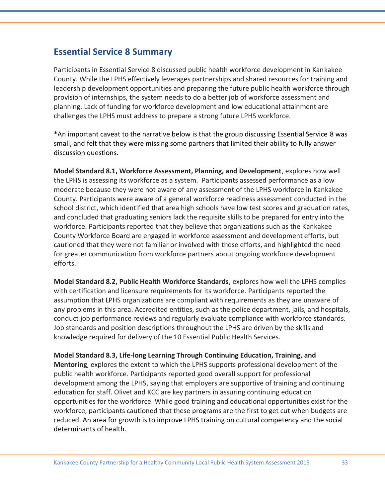### **Essential Service 8 Summary**

Participants in Essential Service 8 discussed public health workforce development in Kankakee County. While the LPHS effectively leverages partnerships and shared resources for training and leadership development opportunities and preparing the future public health workforce through provision of internships, the system needs to do a better job of workforce assessment and planning. Lack of funding for workforce development and low educational attainment are challenges the LPHS must address to prepare a strong future LPHS workforce.

\*An important caveat to the narrative below is that the group discussing Essential Service 8 was small, and felt that they were missing some partners that limited their ability to fully answer discussion questions.

**Model Standard 8.1, Workforce Assessment, Planning, and Development**, explores how well the LPHS is assessing its workforce as a system. Participants assessed performance as a low moderate because they were not aware of any assessment of the LPHS workforce in Kankakee County. Participants were aware of a general workforce readiness assessment conducted in the school district, which identified that area high schools have low test scores and graduation rates, and concluded that graduating seniors lack the requisite skills to be prepared for entry into the workforce. Participants reported that they believe that organizations such as the Kankakee County Workforce Board are engaged in workforce assessment and development efforts, but cautioned that they were not familiar or involved with these efforts, and highlighted the need for greater communication from workforce partners about ongoing workforce development efforts.

**Model Standard 8.2, Public Health Workforce Standards**, explores how well the LPHS complies with certification and licensure requirements for its workforce. Participants reported the assumption that LPHS organizations are compliant with requirements as they are unaware of any problems in this area. Accredited entities, such as the police department, jails, and hospitals, conduct job performance reviews and regularly evaluate compliance with workforce standards. Job standards and position descriptions throughout the LPHS are driven by the skills and knowledge required for delivery of the 10 Essential Public Health Services.

**Model Standard 8.3, Life-long Learning Through Continuing Education, Training, and Mentoring**, explores the extent to which the LPHS supports professional development of the public health workforce. Participants reported good overall support for professional development among the LPHS, saying that employers are supportive of training and continuing education for staff. Olivet and KCC are key partners in assuring continuing education opportunities for the workforce. While good training and educational opportunities exist for the workforce, participants cautioned that these programs are the first to get cut when budgets are reduced. An area for growth is to improve LPHS training on cultural competency and the social determinants of health.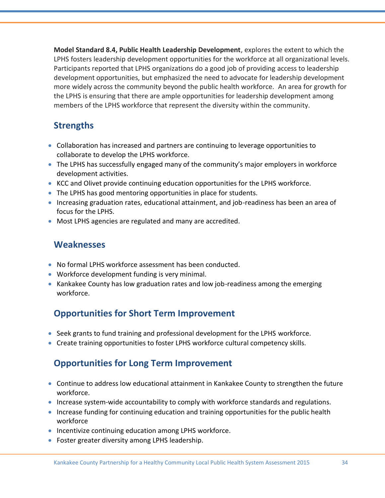**Model Standard 8.4, Public Health Leadership Development**, explores the extent to which the LPHS fosters leadership development opportunities for the workforce at all organizational levels. Participants reported that LPHS organizations do a good job of providing access to leadership development opportunities, but emphasized the need to advocate for leadership development more widely across the community beyond the public health workforce. An area for growth for the LPHS is ensuring that there are ample opportunities for leadership development among members of the LPHS workforce that represent the diversity within the community.

# **Strengths**

- Collaboration has increased and partners are continuing to leverage opportunities to collaborate to develop the LPHS workforce.
- The LPHS has successfully engaged many of the community's major employers in workforce development activities.
- KCC and Olivet provide continuing education opportunities for the LPHS workforce.
- The LPHS has good mentoring opportunities in place for students.
- Increasing graduation rates, educational attainment, and job-readiness has been an area of focus for the LPHS.
- Most LPHS agencies are regulated and many are accredited.

### **Weaknesses**

- No formal LPHS workforce assessment has been conducted.
- Workforce development funding is very minimal.
- Kankakee County has low graduation rates and low job-readiness among the emerging workforce.

# **Opportunities for Short Term Improvement**

- Seek grants to fund training and professional development for the LPHS workforce.
- Create training opportunities to foster LPHS workforce cultural competency skills.

# **Opportunities for Long Term Improvement**

- Continue to address low educational attainment in Kankakee County to strengthen the future workforce.
- Increase system-wide accountability to comply with workforce standards and regulations.
- Increase funding for continuing education and training opportunities for the public health workforce
- Incentivize continuing education among LPHS workforce.
- Foster greater diversity among LPHS leadership.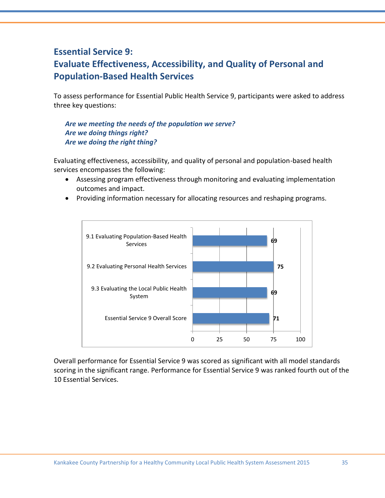# **Essential Service 9: Evaluate Effectiveness, Accessibility, and Quality of Personal and Population-Based Health Services**

To assess performance for Essential Public Health Service 9, participants were asked to address three key questions:

*Are we meeting the needs of the population we serve? Are we doing things right? Are we doing the right thing?* 

Evaluating effectiveness, accessibility, and quality of personal and population-based health services encompasses the following:

- Assessing program effectiveness through monitoring and evaluating implementation outcomes and impact.
- Providing information necessary for allocating resources and reshaping programs.



Overall performance for Essential Service 9 was scored as significant with all model standards scoring in the significant range. Performance for Essential Service 9 was ranked fourth out of the 10 Essential Services.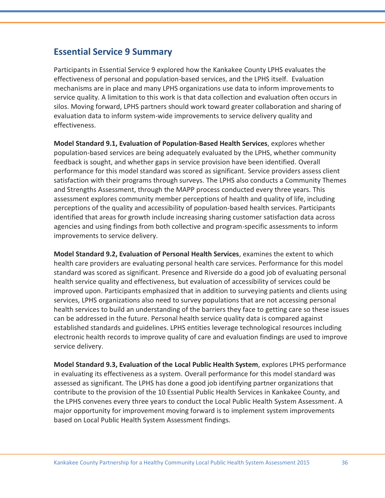### **Essential Service 9 Summary**

Participants in Essential Service 9 explored how the Kankakee County LPHS evaluates the effectiveness of personal and population-based services, and the LPHS itself. Evaluation mechanisms are in place and many LPHS organizations use data to inform improvements to service quality. A limitation to this work is that data collection and evaluation often occurs in silos. Moving forward, LPHS partners should work toward greater collaboration and sharing of evaluation data to inform system-wide improvements to service delivery quality and effectiveness.

**Model Standard 9.1, Evaluation of Population-Based Health Services**, explores whether population-based services are being adequately evaluated by the LPHS, whether community feedback is sought, and whether gaps in service provision have been identified. Overall performance for this model standard was scored as significant. Service providers assess client satisfaction with their programs through surveys. The LPHS also conducts a Community Themes and Strengths Assessment, through the MAPP process conducted every three years. This assessment explores community member perceptions of health and quality of life, including perceptions of the quality and accessibility of population-based health services. Participants identified that areas for growth include increasing sharing customer satisfaction data across agencies and using findings from both collective and program-specific assessments to inform improvements to service delivery.

**Model Standard 9.2, Evaluation of Personal Health Services**, examines the extent to which health care providers are evaluating personal health care services. Performance for this model standard was scored as significant. Presence and Riverside do a good job of evaluating personal health service quality and effectiveness, but evaluation of accessibility of services could be improved upon. Participants emphasized that in addition to surveying patients and clients using services, LPHS organizations also need to survey populations that are not accessing personal health services to build an understanding of the barriers they face to getting care so these issues can be addressed in the future. Personal health service quality data is compared against established standards and guidelines. LPHS entities leverage technological resources including electronic health records to improve quality of care and evaluation findings are used to improve service delivery.

**Model Standard 9.3, Evaluation of the Local Public Health System**, explores LPHS performance in evaluating its effectiveness as a system. Overall performance for this model standard was assessed as significant. The LPHS has done a good job identifying partner organizations that contribute to the provision of the 10 Essential Public Health Services in Kankakee County, and the LPHS convenes every three years to conduct the Local Public Health System Assessment. A major opportunity for improvement moving forward is to implement system improvements based on Local Public Health System Assessment findings.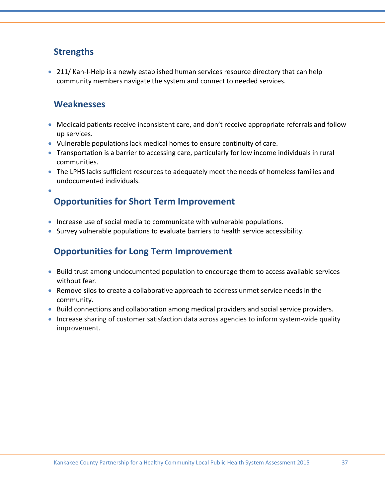# **Strengths**

• 211/ Kan-I-Help is a newly established human services resource directory that can help community members navigate the system and connect to needed services.

### **Weaknesses**

- Medicaid patients receive inconsistent care, and don't receive appropriate referrals and follow up services.
- Vulnerable populations lack medical homes to ensure continuity of care.
- Transportation is a barrier to accessing care, particularly for low income individuals in rural communities.
- The LPHS lacks sufficient resources to adequately meet the needs of homeless families and undocumented individuals.

 $\bullet$ 

# **Opportunities for Short Term Improvement**

- Increase use of social media to communicate with vulnerable populations.
- Survey vulnerable populations to evaluate barriers to health service accessibility.

# **Opportunities for Long Term Improvement**

- **Build trust among undocumented population to encourage them to access available services** without fear.
- Remove silos to create a collaborative approach to address unmet service needs in the community.
- Build connections and collaboration among medical providers and social service providers.
- Increase sharing of customer satisfaction data across agencies to inform system-wide quality improvement.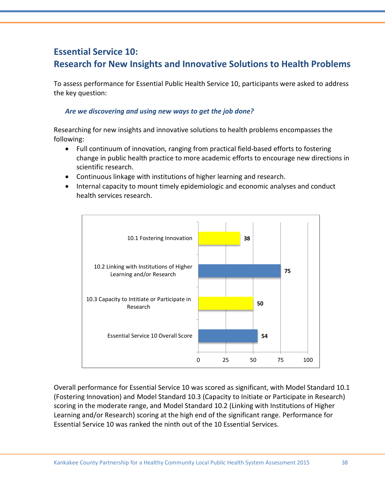# **Essential Service 10: Research for New Insights and Innovative Solutions to Health Problems**

To assess performance for Essential Public Health Service 10, participants were asked to address the key question:

#### *Are we discovering and using new ways to get the job done?*

Researching for new insights and innovative solutions to health problems encompasses the following:

- Full continuum of innovation, ranging from practical field-based efforts to fostering change in public health practice to more academic efforts to encourage new directions in scientific research.
- Continuous linkage with institutions of higher learning and research.
- Internal capacity to mount timely epidemiologic and economic analyses and conduct health services research.



Overall performance for Essential Service 10 was scored as significant, with Model Standard 10.1 (Fostering Innovation) and Model Standard 10.3 (Capacity to Initiate or Participate in Research) scoring in the moderate range, and Model Standard 10.2 (Linking with Institutions of Higher Learning and/or Research) scoring at the high end of the significant range. Performance for Essential Service 10 was ranked the ninth out of the 10 Essential Services.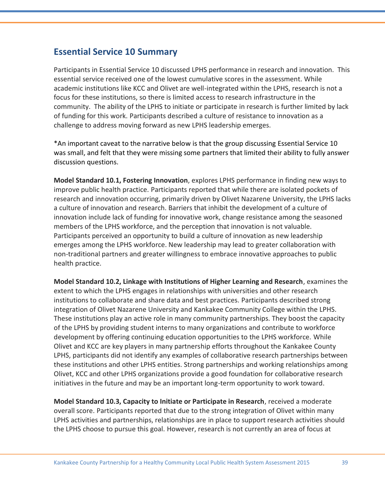### **Essential Service 10 Summary**

Participants in Essential Service 10 discussed LPHS performance in research and innovation. This essential service received one of the lowest cumulative scores in the assessment. While academic institutions like KCC and Olivet are well-integrated within the LPHS, research is not a focus for these institutions, so there is limited access to research infrastructure in the community. The ability of the LPHS to initiate or participate in research is further limited by lack of funding for this work. Participants described a culture of resistance to innovation as a challenge to address moving forward as new LPHS leadership emerges.

\*An important caveat to the narrative below is that the group discussing Essential Service 10 was small, and felt that they were missing some partners that limited their ability to fully answer discussion questions.

**Model Standard 10.1, Fostering Innovation**, explores LPHS performance in finding new ways to improve public health practice. Participants reported that while there are isolated pockets of research and innovation occurring, primarily driven by Olivet Nazarene University, the LPHS lacks a culture of innovation and research. Barriers that inhibit the development of a culture of innovation include lack of funding for innovative work, change resistance among the seasoned members of the LPHS workforce, and the perception that innovation is not valuable. Participants perceived an opportunity to build a culture of innovation as new leadership emerges among the LPHS workforce. New leadership may lead to greater collaboration with non-traditional partners and greater willingness to embrace innovative approaches to public health practice.

**Model Standard 10.2, Linkage with Institutions of Higher Learning and Research**, examines the extent to which the LPHS engages in relationships with universities and other research institutions to collaborate and share data and best practices. Participants described strong integration of Olivet Nazarene University and Kankakee Community College within the LPHS. These institutions play an active role in many community partnerships. They boost the capacity of the LPHS by providing student interns to many organizations and contribute to workforce development by offering continuing education opportunities to the LPHS workforce. While Olivet and KCC are key players in many partnership efforts throughout the Kankakee County LPHS, participants did not identify any examples of collaborative research partnerships between these institutions and other LPHS entities. Strong partnerships and working relationships among Olivet, KCC and other LPHS organizations provide a good foundation for collaborative research initiatives in the future and may be an important long-term opportunity to work toward.

**Model Standard 10.3, Capacity to Initiate or Participate in Research**, received a moderate overall score. Participants reported that due to the strong integration of Olivet within many LPHS activities and partnerships, relationships are in place to support research activities should the LPHS choose to pursue this goal. However, research is not currently an area of focus at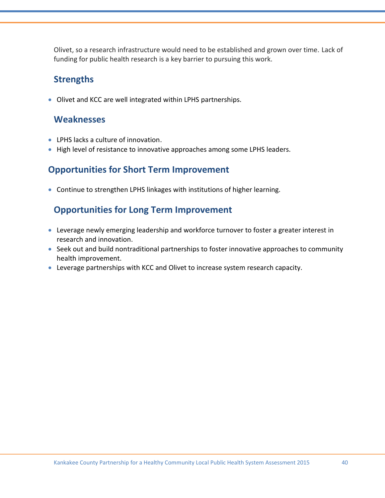Olivet, so a research infrastructure would need to be established and grown over time. Lack of funding for public health research is a key barrier to pursuing this work.

### **Strengths**

Olivet and KCC are well integrated within LPHS partnerships.

#### **Weaknesses**

- LPHS lacks a culture of innovation.
- High level of resistance to innovative approaches among some LPHS leaders.

### **Opportunities for Short Term Improvement**

Continue to strengthen LPHS linkages with institutions of higher learning.

### **Opportunities for Long Term Improvement**

- Leverage newly emerging leadership and workforce turnover to foster a greater interest in research and innovation.
- Seek out and build nontraditional partnerships to foster innovative approaches to community health improvement.
- Leverage partnerships with KCC and Olivet to increase system research capacity.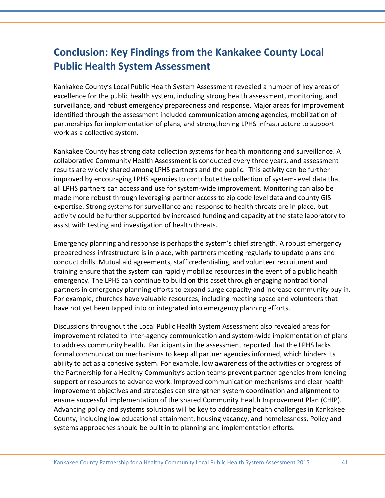# **Conclusion: Key Findings from the Kankakee County Local Public Health System Assessment**

Kankakee County's Local Public Health System Assessment revealed a number of key areas of excellence for the public health system, including strong health assessment, monitoring, and surveillance, and robust emergency preparedness and response. Major areas for improvement identified through the assessment included communication among agencies, mobilization of partnerships for implementation of plans, and strengthening LPHS infrastructure to support work as a collective system.

Kankakee County has strong data collection systems for health monitoring and surveillance. A collaborative Community Health Assessment is conducted every three years, and assessment results are widely shared among LPHS partners and the public. This activity can be further improved by encouraging LPHS agencies to contribute the collection of system-level data that all LPHS partners can access and use for system-wide improvement. Monitoring can also be made more robust through leveraging partner access to zip code level data and county GIS expertise. Strong systems for surveillance and response to health threats are in place, but activity could be further supported by increased funding and capacity at the state laboratory to assist with testing and investigation of health threats.

Emergency planning and response is perhaps the system's chief strength. A robust emergency preparedness infrastructure is in place, with partners meeting regularly to update plans and conduct drills. Mutual aid agreements, staff credentialing, and volunteer recruitment and training ensure that the system can rapidly mobilize resources in the event of a public health emergency. The LPHS can continue to build on this asset through engaging nontraditional partners in emergency planning efforts to expand surge capacity and increase community buy in. For example, churches have valuable resources, including meeting space and volunteers that have not yet been tapped into or integrated into emergency planning efforts.

Discussions throughout the Local Public Health System Assessment also revealed areas for improvement related to inter-agency communication and system-wide implementation of plans to address community health. Participants in the assessment reported that the LPHS lacks formal communication mechanisms to keep all partner agencies informed, which hinders its ability to act as a cohesive system. For example, low awareness of the activities or progress of the Partnership for a Healthy Community's action teams prevent partner agencies from lending support or resources to advance work. Improved communication mechanisms and clear health improvement objectives and strategies can strengthen system coordination and alignment to ensure successful implementation of the shared Community Health Improvement Plan (CHIP). Advancing policy and systems solutions will be key to addressing health challenges in Kankakee County, including low educational attainment, housing vacancy, and homelessness. Policy and systems approaches should be built in to planning and implementation efforts.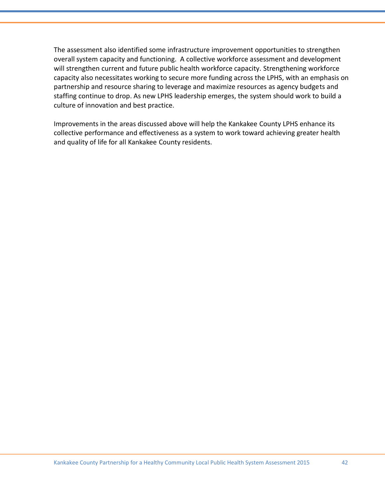The assessment also identified some infrastructure improvement opportunities to strengthen overall system capacity and functioning. A collective workforce assessment and development will strengthen current and future public health workforce capacity. Strengthening workforce capacity also necessitates working to secure more funding across the LPHS, with an emphasis on partnership and resource sharing to leverage and maximize resources as agency budgets and staffing continue to drop. As new LPHS leadership emerges, the system should work to build a culture of innovation and best practice.

Improvements in the areas discussed above will help the Kankakee County LPHS enhance its collective performance and effectiveness as a system to work toward achieving greater health and quality of life for all Kankakee County residents.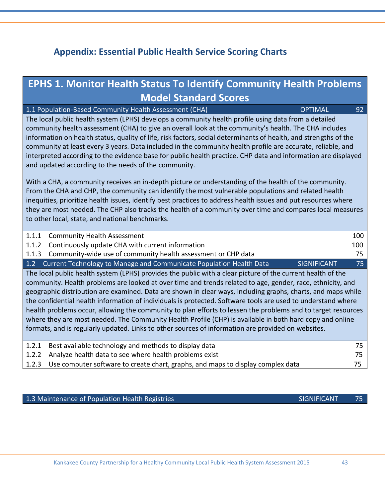# **Appendix: Essential Public Health Service Scoring Charts**

# **EPHS 1. Monitor Health Status To Identify Community Health Problems Model Standard Scores**

1.1 Population-Based Community Health Assessment (CHA) Network Community 1.1 Population-Based Community Health The local public health system (LPHS) develops a community health profile using data from a detailed community health assessment (CHA) to give an overall look at the community's health. The CHA includes information on health status, quality of life, risk factors, social determinants of health, and strengths of the community at least every 3 years. Data included in the community health profile are accurate, reliable, and interpreted according to the evidence base for public health practice. CHP data and information are displayed and updated according to the needs of the community. With a CHA, a community receives an in-depth picture or understanding of the health of the community. From the CHA and CHP, the community can identify the most vulnerable populations and related health

inequities, prioritize health issues, identify best practices to address health issues and put resources where they are most needed. The CHP also tracks the health of a community over time and compares local measures to other local, state, and national benchmarks.

| 1.1.1                                                                                                       | <b>Community Health Assessment</b>                                                                | 100   |  |
|-------------------------------------------------------------------------------------------------------------|---------------------------------------------------------------------------------------------------|-------|--|
|                                                                                                             | 1.1.2 Continuously update CHA with current information                                            | 100 l |  |
|                                                                                                             | 1.1.3 Community-wide use of community health assessment or CHP data                               | 75 I  |  |
|                                                                                                             | 1.2 Current Technology to Manage and Communicate Population Health Data<br><b>SIGNIFICANT</b>     | 75.   |  |
| The local public health system (LPHS) provides the public with a clear picture of the current health of the |                                                                                                   |       |  |
|                                                                                                             | trends reader rate and transfer and transfer and transfer and transfer and reader rate attention. |       |  |

community. Health problems are looked at over time and trends related to age, gender, race, ethnicity, and geographic distribution are examined. Data are shown in clear ways, including graphs, charts, and maps while the confidential health information of individuals is protected. Software tools are used to understand where health problems occur, allowing the community to plan efforts to lessen the problems and to target resources where they are most needed. The Community Health Profile (CHP) is available in both hard copy and online formats, and is regularly updated. Links to other sources of information are provided on websites.

| 1.2.1 Best available technology and methods to display data                           |    |
|---------------------------------------------------------------------------------------|----|
| 1.2.2 Analyze health data to see where health problems exist                          |    |
| 1.2.3 Use computer software to create chart, graphs, and maps to display complex data | 75 |
|                                                                                       |    |

1.3 Maintenance of Population Health Registries SIGNIFICANT 75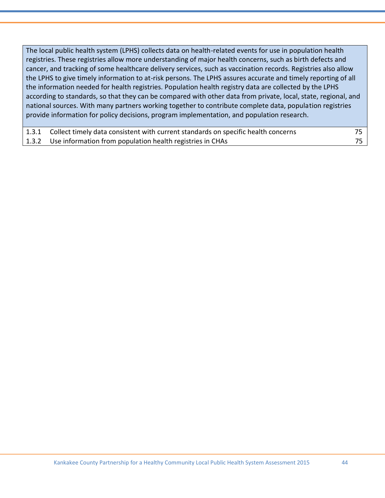The local public health system (LPHS) collects data on health-related events for use in population health registries. These registries allow more understanding of major health concerns, such as birth defects and cancer, and tracking of some healthcare delivery services, such as vaccination records. Registries also allow the LPHS to give timely information to at-risk persons. The LPHS assures accurate and timely reporting of all the information needed for health registries. Population health registry data are collected by the LPHS according to standards, so that they can be compared with other data from private, local, state, regional, and national sources. With many partners working together to contribute complete data, population registries provide information for policy decisions, program implementation, and population research.

| 1.3.1 Collect timely data consistent with current standards on specific health concerns |  |
|-----------------------------------------------------------------------------------------|--|
| 1.3.2 Use information from population health registries in CHAs                         |  |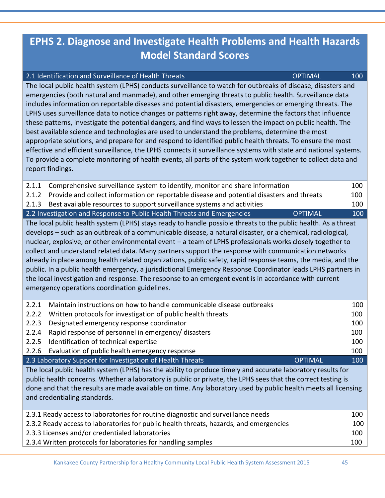# **EPHS 2. Diagnose and Investigate Health Problems and Health Hazards Model Standard Scores**

2.1 Identification and Surveillance of Health Threats **COPTIMAL** 100 The local public health system (LPHS) conducts surveillance to watch for outbreaks of disease, disasters and

| emergencies (both natural and manmade), and other emerging threats to public health. Surveillance data<br>includes information on reportable diseases and potential disasters, emergencies or emerging threats. The<br>LPHS uses surveillance data to notice changes or patterns right away, determine the factors that influence<br>these patterns, investigate the potential dangers, and find ways to lessen the impact on public health. The<br>best available science and technologies are used to understand the problems, determine the most<br>appropriate solutions, and prepare for and respond to identified public health threats. To ensure the most<br>effective and efficient surveillance, the LPHS connects it surveillance systems with state and national systems.<br>To provide a complete monitoring of health events, all parts of the system work together to collect data and<br>report findings. |            |  |  |
|---------------------------------------------------------------------------------------------------------------------------------------------------------------------------------------------------------------------------------------------------------------------------------------------------------------------------------------------------------------------------------------------------------------------------------------------------------------------------------------------------------------------------------------------------------------------------------------------------------------------------------------------------------------------------------------------------------------------------------------------------------------------------------------------------------------------------------------------------------------------------------------------------------------------------|------------|--|--|
| 2.1.1<br>Comprehensive surveillance system to identify, monitor and share information                                                                                                                                                                                                                                                                                                                                                                                                                                                                                                                                                                                                                                                                                                                                                                                                                                     | 100        |  |  |
| Provide and collect information on reportable disease and potential disasters and threats<br>2.1.2                                                                                                                                                                                                                                                                                                                                                                                                                                                                                                                                                                                                                                                                                                                                                                                                                        | 100        |  |  |
| Best available resources to support surveillance systems and activities<br>2.1.3                                                                                                                                                                                                                                                                                                                                                                                                                                                                                                                                                                                                                                                                                                                                                                                                                                          | 100        |  |  |
| 2.2 Investigation and Response to Public Health Threats and Emergencies<br><b>OPTIMAL</b>                                                                                                                                                                                                                                                                                                                                                                                                                                                                                                                                                                                                                                                                                                                                                                                                                                 | 100        |  |  |
| The local public health system (LPHS) stays ready to handle possible threats to the public health. As a threat<br>develops – such as an outbreak of a communicable disease, a natural disaster, or a chemical, radiological,<br>nuclear, explosive, or other environmental event - a team of LPHS professionals works closely together to<br>collect and understand related data. Many partners support the response with communication networks<br>already in place among health related organizations, public safety, rapid response teams, the media, and the<br>public. In a public health emergency, a jurisdictional Emergency Response Coordinator leads LPHS partners in<br>the local investigation and response. The response to an emergent event is in accordance with current<br>emergency operations coordination guidelines.                                                                                |            |  |  |
| Maintain instructions on how to handle communicable disease outbreaks<br>2.2.1                                                                                                                                                                                                                                                                                                                                                                                                                                                                                                                                                                                                                                                                                                                                                                                                                                            | 100        |  |  |
| 2.2.2<br>Written protocols for investigation of public health threats                                                                                                                                                                                                                                                                                                                                                                                                                                                                                                                                                                                                                                                                                                                                                                                                                                                     | 100        |  |  |
| 2.2.3<br>Designated emergency response coordinator                                                                                                                                                                                                                                                                                                                                                                                                                                                                                                                                                                                                                                                                                                                                                                                                                                                                        | 100        |  |  |
| 2.2.4<br>Rapid response of personnel in emergency/ disasters                                                                                                                                                                                                                                                                                                                                                                                                                                                                                                                                                                                                                                                                                                                                                                                                                                                              | 100        |  |  |
| 2.2.5<br>Identification of technical expertise                                                                                                                                                                                                                                                                                                                                                                                                                                                                                                                                                                                                                                                                                                                                                                                                                                                                            | 100        |  |  |
| 2.2.6<br>Evaluation of public health emergency response<br>2.3 Laboratory Support for Investigation of Health Threats<br><b>OPTIMAL</b>                                                                                                                                                                                                                                                                                                                                                                                                                                                                                                                                                                                                                                                                                                                                                                                   | 100<br>100 |  |  |
| The local public health system (LPHS) has the ability to produce timely and accurate laboratory results for<br>public health concerns. Whether a laboratory is public or private, the LPHS sees that the correct testing is<br>done and that the results are made available on time. Any laboratory used by public health meets all licensing<br>and credentialing standards.                                                                                                                                                                                                                                                                                                                                                                                                                                                                                                                                             |            |  |  |
| 2.3.1 Ready access to laboratories for routine diagnostic and surveillance needs                                                                                                                                                                                                                                                                                                                                                                                                                                                                                                                                                                                                                                                                                                                                                                                                                                          | 100        |  |  |
| 2.3.2 Ready access to laboratories for public health threats, hazards, and emergencies                                                                                                                                                                                                                                                                                                                                                                                                                                                                                                                                                                                                                                                                                                                                                                                                                                    | 100        |  |  |
| 2.3.3 Licenses and/or credentialed laboratories                                                                                                                                                                                                                                                                                                                                                                                                                                                                                                                                                                                                                                                                                                                                                                                                                                                                           | 100        |  |  |
| 2.3.4 Written protocols for laboratories for handling samples                                                                                                                                                                                                                                                                                                                                                                                                                                                                                                                                                                                                                                                                                                                                                                                                                                                             | 100        |  |  |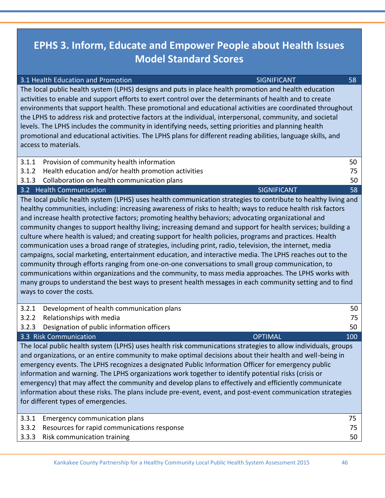# **EPHS 3. Inform, Educate and Empower People about Health Issues Model Standard Scores**

3.1 Health Education and Promotion SIGNIFICANT 58

| 3.1.1<br>Provision of community health information<br>50<br>Health education and/or health promotion activities<br>3.1.2<br>75<br>Collaboration on health communication plans<br>3.1.3<br>50<br>3.2 Health Communication<br><b>SIGNIFICANT</b><br>58<br>The local public health system (LPHS) uses health communication strategies to contribute to healthy living and<br>healthy communities, including: increasing awareness of risks to health; ways to reduce health risk factors<br>and increase health protective factors; promoting healthy behaviors; advocating organizational and<br>community changes to support healthy living; increasing demand and support for health services; building a<br>culture where health is valued; and creating support for health policies, programs and practices. Health<br>communication uses a broad range of strategies, including print, radio, television, the internet, media<br>campaigns, social marketing, entertainment education, and interactive media. The LPHS reaches out to the<br>community through efforts ranging from one-on-one conversations to small group communication, to<br>communications within organizations and the community, to mass media approaches. The LPHS works with<br>many groups to understand the best ways to present health messages in each community setting and to find<br>ways to cover the costs.<br>3.2.1<br>Development of health communication plans<br>50<br>3.2.2<br>Relationships with media<br>75<br>Designation of public information officers<br>3.2.3<br>50<br>3.3 Risk Communication<br><b>OPTIMAL</b><br>100<br>The local public health system (LPHS) uses health risk communications strategies to allow individuals, groups<br>and organizations, or an entire community to make optimal decisions about their health and well-being in<br>emergency events. The LPHS recognizes a designated Public Information Officer for emergency public<br>information and warning. The LPHS organizations work together to identify potential risks (crisis or<br>emergency) that may affect the community and develop plans to effectively and efficiently communicate<br>information about these risks. The plans include pre-event, event, and post-event communication strategies<br>for different types of emergencies.<br>Emergency communication plans<br>3.3.1<br>75<br>Resources for rapid communications response<br>3.3.2<br>75 | The local public health system (LPHS) designs and puts in place health promotion and health education<br>activities to enable and support efforts to exert control over the determinants of health and to create<br>environments that support health. These promotional and educational activities are coordinated throughout<br>the LPHS to address risk and protective factors at the individual, interpersonal, community, and societal<br>levels. The LPHS includes the community in identifying needs, setting priorities and planning health<br>promotional and educational activities. The LPHS plans for different reading abilities, language skills, and<br>access to materials. |    |  |
|------------------------------------------------------------------------------------------------------------------------------------------------------------------------------------------------------------------------------------------------------------------------------------------------------------------------------------------------------------------------------------------------------------------------------------------------------------------------------------------------------------------------------------------------------------------------------------------------------------------------------------------------------------------------------------------------------------------------------------------------------------------------------------------------------------------------------------------------------------------------------------------------------------------------------------------------------------------------------------------------------------------------------------------------------------------------------------------------------------------------------------------------------------------------------------------------------------------------------------------------------------------------------------------------------------------------------------------------------------------------------------------------------------------------------------------------------------------------------------------------------------------------------------------------------------------------------------------------------------------------------------------------------------------------------------------------------------------------------------------------------------------------------------------------------------------------------------------------------------------------------------------------------------------------------------------------------------------------------------------------------------------------------------------------------------------------------------------------------------------------------------------------------------------------------------------------------------------------------------------------------------------------------------------------------------------------------------------------------------------------------------------------------------------------------------------------|--------------------------------------------------------------------------------------------------------------------------------------------------------------------------------------------------------------------------------------------------------------------------------------------------------------------------------------------------------------------------------------------------------------------------------------------------------------------------------------------------------------------------------------------------------------------------------------------------------------------------------------------------------------------------------------------|----|--|
|                                                                                                                                                                                                                                                                                                                                                                                                                                                                                                                                                                                                                                                                                                                                                                                                                                                                                                                                                                                                                                                                                                                                                                                                                                                                                                                                                                                                                                                                                                                                                                                                                                                                                                                                                                                                                                                                                                                                                                                                                                                                                                                                                                                                                                                                                                                                                                                                                                                |                                                                                                                                                                                                                                                                                                                                                                                                                                                                                                                                                                                                                                                                                            |    |  |
|                                                                                                                                                                                                                                                                                                                                                                                                                                                                                                                                                                                                                                                                                                                                                                                                                                                                                                                                                                                                                                                                                                                                                                                                                                                                                                                                                                                                                                                                                                                                                                                                                                                                                                                                                                                                                                                                                                                                                                                                                                                                                                                                                                                                                                                                                                                                                                                                                                                |                                                                                                                                                                                                                                                                                                                                                                                                                                                                                                                                                                                                                                                                                            |    |  |
|                                                                                                                                                                                                                                                                                                                                                                                                                                                                                                                                                                                                                                                                                                                                                                                                                                                                                                                                                                                                                                                                                                                                                                                                                                                                                                                                                                                                                                                                                                                                                                                                                                                                                                                                                                                                                                                                                                                                                                                                                                                                                                                                                                                                                                                                                                                                                                                                                                                |                                                                                                                                                                                                                                                                                                                                                                                                                                                                                                                                                                                                                                                                                            |    |  |
|                                                                                                                                                                                                                                                                                                                                                                                                                                                                                                                                                                                                                                                                                                                                                                                                                                                                                                                                                                                                                                                                                                                                                                                                                                                                                                                                                                                                                                                                                                                                                                                                                                                                                                                                                                                                                                                                                                                                                                                                                                                                                                                                                                                                                                                                                                                                                                                                                                                |                                                                                                                                                                                                                                                                                                                                                                                                                                                                                                                                                                                                                                                                                            |    |  |
|                                                                                                                                                                                                                                                                                                                                                                                                                                                                                                                                                                                                                                                                                                                                                                                                                                                                                                                                                                                                                                                                                                                                                                                                                                                                                                                                                                                                                                                                                                                                                                                                                                                                                                                                                                                                                                                                                                                                                                                                                                                                                                                                                                                                                                                                                                                                                                                                                                                |                                                                                                                                                                                                                                                                                                                                                                                                                                                                                                                                                                                                                                                                                            |    |  |
|                                                                                                                                                                                                                                                                                                                                                                                                                                                                                                                                                                                                                                                                                                                                                                                                                                                                                                                                                                                                                                                                                                                                                                                                                                                                                                                                                                                                                                                                                                                                                                                                                                                                                                                                                                                                                                                                                                                                                                                                                                                                                                                                                                                                                                                                                                                                                                                                                                                |                                                                                                                                                                                                                                                                                                                                                                                                                                                                                                                                                                                                                                                                                            |    |  |
|                                                                                                                                                                                                                                                                                                                                                                                                                                                                                                                                                                                                                                                                                                                                                                                                                                                                                                                                                                                                                                                                                                                                                                                                                                                                                                                                                                                                                                                                                                                                                                                                                                                                                                                                                                                                                                                                                                                                                                                                                                                                                                                                                                                                                                                                                                                                                                                                                                                |                                                                                                                                                                                                                                                                                                                                                                                                                                                                                                                                                                                                                                                                                            |    |  |
|                                                                                                                                                                                                                                                                                                                                                                                                                                                                                                                                                                                                                                                                                                                                                                                                                                                                                                                                                                                                                                                                                                                                                                                                                                                                                                                                                                                                                                                                                                                                                                                                                                                                                                                                                                                                                                                                                                                                                                                                                                                                                                                                                                                                                                                                                                                                                                                                                                                |                                                                                                                                                                                                                                                                                                                                                                                                                                                                                                                                                                                                                                                                                            |    |  |
|                                                                                                                                                                                                                                                                                                                                                                                                                                                                                                                                                                                                                                                                                                                                                                                                                                                                                                                                                                                                                                                                                                                                                                                                                                                                                                                                                                                                                                                                                                                                                                                                                                                                                                                                                                                                                                                                                                                                                                                                                                                                                                                                                                                                                                                                                                                                                                                                                                                |                                                                                                                                                                                                                                                                                                                                                                                                                                                                                                                                                                                                                                                                                            |    |  |
|                                                                                                                                                                                                                                                                                                                                                                                                                                                                                                                                                                                                                                                                                                                                                                                                                                                                                                                                                                                                                                                                                                                                                                                                                                                                                                                                                                                                                                                                                                                                                                                                                                                                                                                                                                                                                                                                                                                                                                                                                                                                                                                                                                                                                                                                                                                                                                                                                                                |                                                                                                                                                                                                                                                                                                                                                                                                                                                                                                                                                                                                                                                                                            |    |  |
|                                                                                                                                                                                                                                                                                                                                                                                                                                                                                                                                                                                                                                                                                                                                                                                                                                                                                                                                                                                                                                                                                                                                                                                                                                                                                                                                                                                                                                                                                                                                                                                                                                                                                                                                                                                                                                                                                                                                                                                                                                                                                                                                                                                                                                                                                                                                                                                                                                                | Risk communication training<br>3.3.3                                                                                                                                                                                                                                                                                                                                                                                                                                                                                                                                                                                                                                                       | 50 |  |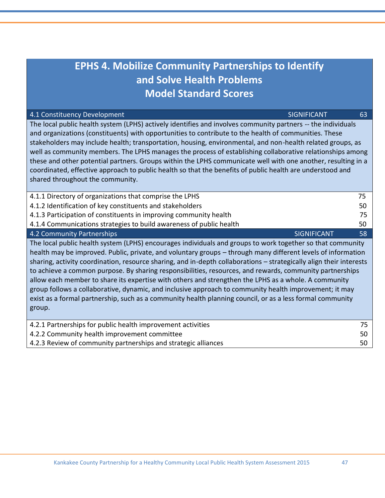| <b>EPHS 4. Mobilize Community Partnerships to Identify</b>                                                                                                                                                                                                                                                                                                                                                                                                                                                                                                                                                                                                                                                                                                                                             |    |  |  |  |
|--------------------------------------------------------------------------------------------------------------------------------------------------------------------------------------------------------------------------------------------------------------------------------------------------------------------------------------------------------------------------------------------------------------------------------------------------------------------------------------------------------------------------------------------------------------------------------------------------------------------------------------------------------------------------------------------------------------------------------------------------------------------------------------------------------|----|--|--|--|
| and Solve Health Problems                                                                                                                                                                                                                                                                                                                                                                                                                                                                                                                                                                                                                                                                                                                                                                              |    |  |  |  |
| <b>Model Standard Scores</b>                                                                                                                                                                                                                                                                                                                                                                                                                                                                                                                                                                                                                                                                                                                                                                           |    |  |  |  |
| 4.1 Constituency Development<br><b>SIGNIFICANT</b>                                                                                                                                                                                                                                                                                                                                                                                                                                                                                                                                                                                                                                                                                                                                                     | 63 |  |  |  |
| The local public health system (LPHS) actively identifies and involves community partners -- the individuals<br>and organizations (constituents) with opportunities to contribute to the health of communities. These<br>stakeholders may include health; transportation, housing, environmental, and non-health related groups, as<br>well as community members. The LPHS manages the process of establishing collaborative relationships among<br>these and other potential partners. Groups within the LPHS communicate well with one another, resulting in a<br>coordinated, effective approach to public health so that the benefits of public health are understood and<br>shared throughout the community.                                                                                      |    |  |  |  |
| 4.1.1 Directory of organizations that comprise the LPHS                                                                                                                                                                                                                                                                                                                                                                                                                                                                                                                                                                                                                                                                                                                                                | 75 |  |  |  |
| 4.1.2 Identification of key constituents and stakeholders                                                                                                                                                                                                                                                                                                                                                                                                                                                                                                                                                                                                                                                                                                                                              | 50 |  |  |  |
| 4.1.3 Participation of constituents in improving community health                                                                                                                                                                                                                                                                                                                                                                                                                                                                                                                                                                                                                                                                                                                                      | 75 |  |  |  |
| 4.1.4 Communications strategies to build awareness of public health                                                                                                                                                                                                                                                                                                                                                                                                                                                                                                                                                                                                                                                                                                                                    | 50 |  |  |  |
| 4.2 Community Partnerships<br><b>SIGNIFICANT</b>                                                                                                                                                                                                                                                                                                                                                                                                                                                                                                                                                                                                                                                                                                                                                       | 58 |  |  |  |
| The local public health system (LPHS) encourages individuals and groups to work together so that community<br>health may be improved. Public, private, and voluntary groups - through many different levels of information<br>sharing, activity coordination, resource sharing, and in-depth collaborations - strategically align their interests<br>to achieve a common purpose. By sharing responsibilities, resources, and rewards, community partnerships<br>allow each member to share its expertise with others and strengthen the LPHS as a whole. A community<br>group follows a collaborative, dynamic, and inclusive approach to community health improvement; it may<br>exist as a formal partnership, such as a community health planning council, or as a less formal community<br>group. |    |  |  |  |
| 4.2.1 Partnerships for public health improvement activities                                                                                                                                                                                                                                                                                                                                                                                                                                                                                                                                                                                                                                                                                                                                            | 75 |  |  |  |
| 4.2.2 Community health improvement committee                                                                                                                                                                                                                                                                                                                                                                                                                                                                                                                                                                                                                                                                                                                                                           | 50 |  |  |  |

4.2.3 Review of community partnerships and strategic alliances 50 50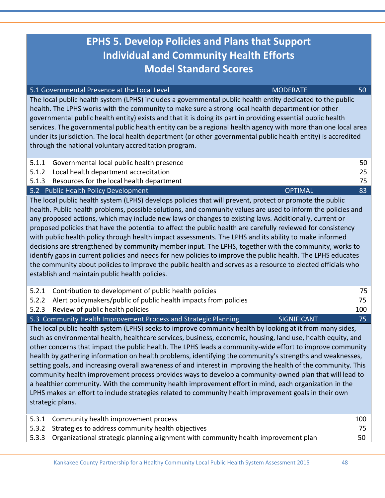# **EPHS 5. Develop Policies and Plans that Support Individual and Community Health Efforts Model Standard Scores**

| 5.1 Governmental Presence at the Local Level                                                                                                                                                                                                                                                                                                                                                                                                                                                                                                                                                                                                                                                                                                                                           | <b>MODERATE</b><br>50 |  |
|----------------------------------------------------------------------------------------------------------------------------------------------------------------------------------------------------------------------------------------------------------------------------------------------------------------------------------------------------------------------------------------------------------------------------------------------------------------------------------------------------------------------------------------------------------------------------------------------------------------------------------------------------------------------------------------------------------------------------------------------------------------------------------------|-----------------------|--|
| The local public health system (LPHS) includes a governmental public health entity dedicated to the public<br>health. The LPHS works with the community to make sure a strong local health department (or other<br>governmental public health entity) exists and that it is doing its part in providing essential public health<br>services. The governmental public health entity can be a regional health agency with more than one local area<br>under its jurisdiction. The local health department (or other governmental public health entity) is accredited<br>through the national voluntary accreditation program.                                                                                                                                                            |                       |  |
| Governmental local public health presence<br>5.1.1                                                                                                                                                                                                                                                                                                                                                                                                                                                                                                                                                                                                                                                                                                                                     | 50                    |  |
| Local health department accreditation<br>5.1.2                                                                                                                                                                                                                                                                                                                                                                                                                                                                                                                                                                                                                                                                                                                                         | 25                    |  |
| Resources for the local health department<br>5.1.3                                                                                                                                                                                                                                                                                                                                                                                                                                                                                                                                                                                                                                                                                                                                     | 75                    |  |
| 5.2 Public Health Policy Development                                                                                                                                                                                                                                                                                                                                                                                                                                                                                                                                                                                                                                                                                                                                                   | <b>OPTIMAL</b><br>83  |  |
| The local public health system (LPHS) develops policies that will prevent, protect or promote the public<br>health. Public health problems, possible solutions, and community values are used to inform the policies and<br>any proposed actions, which may include new laws or changes to existing laws. Additionally, current or<br>proposed policies that have the potential to affect the public health are carefully reviewed for consistency<br>with public health policy through health impact assessments. The LPHS and its ability to make informed<br>decisions are strengthened by community member input. The LPHS, together with the community, works to<br>identify gans in surrent policies and needs for new policies to improve the public health. The LDHS educator, |                       |  |

identify gaps in current policies and needs for new policies to improve the public health. The LPHS educates the community about policies to improve the public health and serves as a resource to elected officials who establish and maintain public health policies.

| 5.2.1                                                                                                    | Contribution to development of public health policies                  |                    | 75 I |
|----------------------------------------------------------------------------------------------------------|------------------------------------------------------------------------|--------------------|------|
|                                                                                                          | 5.2.2 Alert policymakers/public of public health impacts from policies |                    |      |
|                                                                                                          | 5.2.3 Review of public health policies                                 |                    | 100  |
|                                                                                                          | 5.3 Community Health Improvement Process and Strategic Planning        | <b>SIGNIFICANT</b> |      |
| The local public health system (LDHS) seeks to improve community health by looking at it from many sides |                                                                        |                    |      |

1S) seeks to improve community health by looking at i such as environmental health, healthcare services, business, economic, housing, land use, health equity, and other concerns that impact the public health. The LPHS leads a community-wide effort to improve community health by gathering information on health problems, identifying the community's strengths and weaknesses, setting goals, and increasing overall awareness of and interest in improving the health of the community. This community health improvement process provides ways to develop a community-owned plan that will lead to a healthier community. With the community health improvement effort in mind, each organization in the LPHS makes an effort to include strategies related to community health improvement goals in their own strategic plans.

| 5.3.1 Community health improvement process                                               | 100 |
|------------------------------------------------------------------------------------------|-----|
| 5.3.2 Strategies to address community health objectives                                  |     |
| 5.3.3 Organizational strategic planning alignment with community health improvement plan | 50  |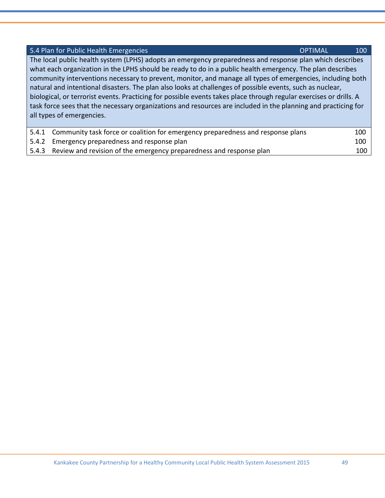| 5.4 Plan for Public Health Emergencies                                                                             | <b>OPTIMAL</b> | 100 |
|--------------------------------------------------------------------------------------------------------------------|----------------|-----|
| The local public health system (LPHS) adopts an emergency preparedness and response plan which describes           |                |     |
| what each organization in the LPHS should be ready to do in a public health emergency. The plan describes          |                |     |
| community interventions necessary to prevent, monitor, and manage all types of emergencies, including both         |                |     |
| natural and intentional disasters. The plan also looks at challenges of possible events, such as nuclear,          |                |     |
| biological, or terrorist events. Practicing for possible events takes place through regular exercises or drills. A |                |     |
| task force sees that the necessary organizations and resources are included in the planning and practicing for     |                |     |
| all types of emergencies.                                                                                          |                |     |
|                                                                                                                    |                |     |
| Community task force or coalition for emergency preparedness and response plans<br>5.4.1                           |                | 100 |
| Emergency preparedness and response plan<br>5.4.2                                                                  |                | 100 |

5.4.3 Review and revision of the emergency preparedness and response plan 100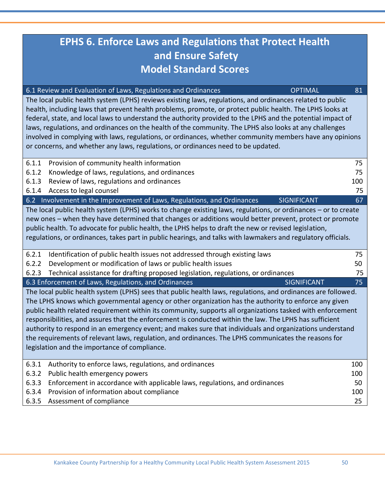# **EPHS 6. Enforce Laws and Regulations that Protect Health and Ensure Safety Model Standard Scores**

| 6.1 Review and Evaluation of Laws, Regulations and Ordinances<br><b>OPTIMAL</b>                                                                                                                                                                                                                                                                                                                                                                                                                                                                                                                                                                    | 81  |
|----------------------------------------------------------------------------------------------------------------------------------------------------------------------------------------------------------------------------------------------------------------------------------------------------------------------------------------------------------------------------------------------------------------------------------------------------------------------------------------------------------------------------------------------------------------------------------------------------------------------------------------------------|-----|
| The local public health system (LPHS) reviews existing laws, regulations, and ordinances related to public<br>health, including laws that prevent health problems, promote, or protect public health. The LPHS looks at<br>federal, state, and local laws to understand the authority provided to the LPHS and the potential impact of<br>laws, regulations, and ordinances on the health of the community. The LPHS also looks at any challenges<br>involved in complying with laws, regulations, or ordinances, whether community members have any opinions<br>or concerns, and whether any laws, regulations, or ordinances need to be updated. |     |
| 6.1.1<br>Provision of community health information                                                                                                                                                                                                                                                                                                                                                                                                                                                                                                                                                                                                 | 75  |
| 6.1.2<br>Knowledge of laws, regulations, and ordinances                                                                                                                                                                                                                                                                                                                                                                                                                                                                                                                                                                                            | 75  |
| 6.1.3<br>Review of laws, regulations and ordinances                                                                                                                                                                                                                                                                                                                                                                                                                                                                                                                                                                                                | 100 |
| Access to legal counsel<br>6.1.4                                                                                                                                                                                                                                                                                                                                                                                                                                                                                                                                                                                                                   | 75  |
| 6.2 Involvement in the Improvement of Laws, Regulations, and Ordinances<br><b>SIGNIFICANT</b>                                                                                                                                                                                                                                                                                                                                                                                                                                                                                                                                                      | 67  |
| The local public health system (LPHS) works to change existing laws, regulations, or ordinances - or to create                                                                                                                                                                                                                                                                                                                                                                                                                                                                                                                                     |     |
| new ones - when they have determined that changes or additions would better prevent, protect or promote                                                                                                                                                                                                                                                                                                                                                                                                                                                                                                                                            |     |
| public health. To advocate for public health, the LPHS helps to draft the new or revised legislation,                                                                                                                                                                                                                                                                                                                                                                                                                                                                                                                                              |     |
| regulations, or ordinances, takes part in public hearings, and talks with lawmakers and regulatory officials.                                                                                                                                                                                                                                                                                                                                                                                                                                                                                                                                      |     |
| Identification of public health issues not addressed through existing laws<br>6.2.1                                                                                                                                                                                                                                                                                                                                                                                                                                                                                                                                                                | 75  |
| Development or modification of laws or public health issues<br>6.2.2                                                                                                                                                                                                                                                                                                                                                                                                                                                                                                                                                                               | 50  |
| 6.2.3<br>Technical assistance for drafting proposed legislation, regulations, or ordinances                                                                                                                                                                                                                                                                                                                                                                                                                                                                                                                                                        | 75  |
| 6.3 Enforcement of Laws, Regulations, and Ordinances<br><b>SIGNIFICANT</b>                                                                                                                                                                                                                                                                                                                                                                                                                                                                                                                                                                         | 75  |
| The local public health system (LPHS) sees that public health laws, regulations, and ordinances are followed.                                                                                                                                                                                                                                                                                                                                                                                                                                                                                                                                      |     |
| The LPHS knows which governmental agency or other organization has the authority to enforce any given                                                                                                                                                                                                                                                                                                                                                                                                                                                                                                                                              |     |
| public health related requirement within its community, supports all organizations tasked with enforcement                                                                                                                                                                                                                                                                                                                                                                                                                                                                                                                                         |     |
| responsibilities, and assures that the enforcement is conducted within the law. The LPHS has sufficient                                                                                                                                                                                                                                                                                                                                                                                                                                                                                                                                            |     |
| authority to respond in an emergency event; and makes sure that individuals and organizations understand                                                                                                                                                                                                                                                                                                                                                                                                                                                                                                                                           |     |
| the requirements of relevant laws, regulation, and ordinances. The LPHS communicates the reasons for                                                                                                                                                                                                                                                                                                                                                                                                                                                                                                                                               |     |
| legislation and the importance of compliance.                                                                                                                                                                                                                                                                                                                                                                                                                                                                                                                                                                                                      |     |
| 6.3.1<br>Authority to enforce laws, regulations, and ordinances                                                                                                                                                                                                                                                                                                                                                                                                                                                                                                                                                                                    | 100 |
| 6.3.2<br>Public health emergency powers                                                                                                                                                                                                                                                                                                                                                                                                                                                                                                                                                                                                            | 100 |
| 6.3.3<br>Enforcement in accordance with applicable laws, regulations, and ordinances                                                                                                                                                                                                                                                                                                                                                                                                                                                                                                                                                               | 50  |
| 6.3.4<br>Provision of information about compliance                                                                                                                                                                                                                                                                                                                                                                                                                                                                                                                                                                                                 | 100 |
| 6.3.5<br>Assessment of compliance                                                                                                                                                                                                                                                                                                                                                                                                                                                                                                                                                                                                                  | 25  |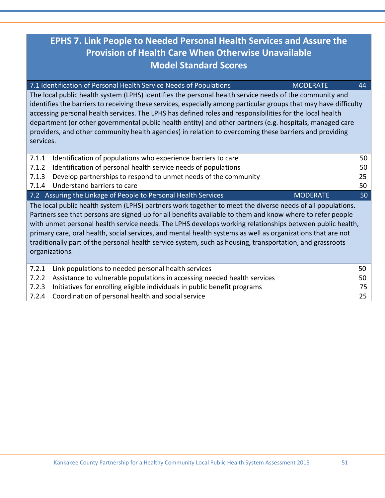# **EPHS 7. Link People to Needed Personal Health Services and Assure the Provision of Health Care When Otherwise Unavailable Model Standard Scores**

|                | 7.1 Identification of Personal Health Service Needs of Populations                                                                                                                                                                                                                                                                                                                                                                                                                                                                                              | <b>MODERATE</b> | 44 |
|----------------|-----------------------------------------------------------------------------------------------------------------------------------------------------------------------------------------------------------------------------------------------------------------------------------------------------------------------------------------------------------------------------------------------------------------------------------------------------------------------------------------------------------------------------------------------------------------|-----------------|----|
| services.      | The local public health system (LPHS) identifies the personal health service needs of the community and<br>identifies the barriers to receiving these services, especially among particular groups that may have difficulty<br>accessing personal health services. The LPHS has defined roles and responsibilities for the local health<br>department (or other governmental public health entity) and other partners (e.g. hospitals, managed care<br>providers, and other community health agencies) in relation to overcoming these barriers and providing   |                 |    |
| 7.1.1          | Identification of populations who experience barriers to care                                                                                                                                                                                                                                                                                                                                                                                                                                                                                                   |                 | 50 |
| 7.1.2          | Identification of personal health service needs of populations                                                                                                                                                                                                                                                                                                                                                                                                                                                                                                  |                 | 50 |
| 7.1.3          | Develop partnerships to respond to unmet needs of the community                                                                                                                                                                                                                                                                                                                                                                                                                                                                                                 |                 | 25 |
| 7.1.4          | Understand barriers to care                                                                                                                                                                                                                                                                                                                                                                                                                                                                                                                                     |                 | 50 |
|                | 7.2 Assuring the Linkage of People to Personal Health Services                                                                                                                                                                                                                                                                                                                                                                                                                                                                                                  | <b>MODERATE</b> | 50 |
| organizations. | The local public health system (LPHS) partners work together to meet the diverse needs of all populations.<br>Partners see that persons are signed up for all benefits available to them and know where to refer people<br>with unmet personal health service needs. The LPHS develops working relationships between public health,<br>primary care, oral health, social services, and mental health systems as well as organizations that are not<br>traditionally part of the personal health service system, such as housing, transportation, and grassroots |                 |    |
| 7.2.1          | Link populations to needed personal health services                                                                                                                                                                                                                                                                                                                                                                                                                                                                                                             |                 | 50 |
| 7.2.2          | Assistance to vulnerable populations in accessing needed health services                                                                                                                                                                                                                                                                                                                                                                                                                                                                                        |                 | 50 |
| 7.2.3          | Initiatives for enrolling eligible individuals in public benefit programs                                                                                                                                                                                                                                                                                                                                                                                                                                                                                       |                 | 75 |
|                |                                                                                                                                                                                                                                                                                                                                                                                                                                                                                                                                                                 |                 |    |

7.2.4 Coordination of personal health and social service 25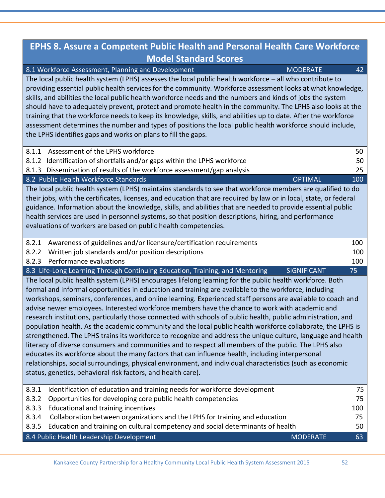### **EPHS 8. Assure a Competent Public Health and Personal Health Care Workforce Model Standard Scores** 8.1 Workforce Assessment, Planning and Development MODERATE MODERATE 42 The local public health system (LPHS) assesses the local public health workforce – all who contribute to providing essential public health services for the community. Workforce assessment looks at what knowledge, skills, and abilities the local public health workforce needs and the numbers and kinds of jobs the system should have to adequately prevent, protect and promote health in the community. The LPHS also looks at the training that the workforce needs to keep its knowledge, skills, and abilities up to date. After the workforce assessment determines the number and types of positions the local public health workforce should include, the LPHS identifies gaps and works on plans to fill the gaps. 8.1.1 Assessment of the LPHS workforce 50 8.1.2 Identification of shortfalls and/or gaps within the LPHS workforce 50 8.1.3 Dissemination of results of the workforce assessment/gap analysis 25 8.2 Public Health Workforce Standards **Contract Community Contract Contract Contract Contract Contract Contract Co** The local public health system (LPHS) maintains standards to see that workforce members are qualified to do their jobs, with the certificates, licenses, and education that are required by law or in local, state, or federal guidance. Information about the knowledge, skills, and abilities that are needed to provide essential public health services are used in personnel systems, so that position descriptions, hiring, and performance evaluations of workers are based on public health competencies. 8.2.1 Awareness of guidelines and/or licensure/certification requirements 100 8.2.2 Written job standards and/or position descriptions 100 8.2.3 Performance evaluations 100 8.3 Life-Long Learning Through Continuing Education, Training, and Mentoring SIGNIFICANT 75 The local public health system (LPHS) encourages lifelong learning for the public health workforce. Both formal and informal opportunities in education and training are available to the workforce, including workshops, seminars, conferences, and online learning. Experienced staff persons are available to coach and advise newer employees. Interested workforce members have the chance to work with academic and research institutions, particularly those connected with schools of public health, public administration, and population health. As the academic community and the local public health workforce collaborate, the LPHS is strengthened. The LPHS trains its workforce to recognize and address the unique culture, language and health literacy of diverse consumers and communities and to respect all members of the public. The LPHS also educates its workforce about the many factors that can influence health, including interpersonal relationships, social surroundings, physical environment, and individual characteristics (such as economic status, genetics, behavioral risk factors, and health care). 8.3.1 Identification of education and training needs for workforce development 75 8.3.2 Opportunities for developing core public health competencies  $\sim$  75 8.3.3 Educational and training incentives 100 and the state of the state 100 and training incentives 100 and the state 100 and the state 100 and the state 100 and the state 100 and the state 100 and the state 100 and the s 8.3.4 Collaboration between organizations and the LPHS for training and education 75 8.3.5 Education and training on cultural competency and social determinants of health 50 8.4 Public Health Leadership Development and MODERATE 63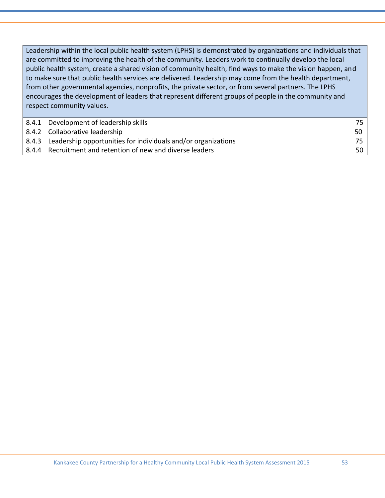Leadership within the local public health system (LPHS) is demonstrated by organizations and individuals that are committed to improving the health of the community. Leaders work to continually develop the local public health system, create a shared vision of community health, find ways to make the vision happen, and to make sure that public health services are delivered. Leadership may come from the health department, from other governmental agencies, nonprofits, the private sector, or from several partners. The LPHS encourages the development of leaders that represent different groups of people in the community and respect community values.

| 8.4.1 Development of leadership skills                              |      |
|---------------------------------------------------------------------|------|
| 8.4.2 Collaborative leadership                                      | 50   |
| 8.4.3 Leadership opportunities for individuals and/or organizations | 75 I |
| 8.4.4 Recruitment and retention of new and diverse leaders          | 50 I |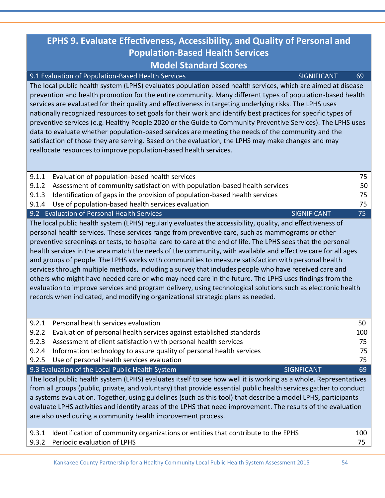# **EPHS 9. Evaluate Effectiveness, Accessibility, and Quality of Personal and Population-Based Health Services Model Standard Scores**

| 9.1 Evaluation of Population-Based Health Services | <b><i>SIGNIFICANT</i></b> | 69 |
|----------------------------------------------------|---------------------------|----|
|----------------------------------------------------|---------------------------|----|

The local public health system (LPHS) evaluates population based health services, which are aimed at disease prevention and health promotion for the entire community. Many different types of population-based health services are evaluated for their quality and effectiveness in targeting underlying risks. The LPHS uses nationally recognized resources to set goals for their work and identify best practices for specific types of preventive services (e.g. Healthy People 2020 or the Guide to Community Preventive Services). The LPHS uses data to evaluate whether population-based services are meeting the needs of the community and the satisfaction of those they are serving. Based on the evaluation, the LPHS may make changes and may reallocate resources to improve population-based health services.

| 9.1.1 | Evaluation of population-based health services                                                                                                                                                                                                                                                                                                                                                                                                                                                                                                                                                                                                                                                                                                                                                                                                                                                                                                                            | 75  |
|-------|---------------------------------------------------------------------------------------------------------------------------------------------------------------------------------------------------------------------------------------------------------------------------------------------------------------------------------------------------------------------------------------------------------------------------------------------------------------------------------------------------------------------------------------------------------------------------------------------------------------------------------------------------------------------------------------------------------------------------------------------------------------------------------------------------------------------------------------------------------------------------------------------------------------------------------------------------------------------------|-----|
| 9.1.2 | Assessment of community satisfaction with population-based health services                                                                                                                                                                                                                                                                                                                                                                                                                                                                                                                                                                                                                                                                                                                                                                                                                                                                                                | 50  |
| 9.1.3 | Identification of gaps in the provision of population-based health services                                                                                                                                                                                                                                                                                                                                                                                                                                                                                                                                                                                                                                                                                                                                                                                                                                                                                               | 75  |
| 9.1.4 | Use of population-based health services evaluation                                                                                                                                                                                                                                                                                                                                                                                                                                                                                                                                                                                                                                                                                                                                                                                                                                                                                                                        | 75  |
|       | 9.2 Evaluation of Personal Health Services<br><b>SIGNIFICANT</b>                                                                                                                                                                                                                                                                                                                                                                                                                                                                                                                                                                                                                                                                                                                                                                                                                                                                                                          | 75  |
|       | The local public health system (LPHS) regularly evaluates the accessibility, quality, and effectiveness of<br>personal health services. These services range from preventive care, such as mammograms or other<br>preventive screenings or tests, to hospital care to care at the end of life. The LPHS sees that the personal<br>health services in the area match the needs of the community, with available and effective care for all ages<br>and groups of people. The LPHS works with communities to measure satisfaction with personal health<br>services through multiple methods, including a survey that includes people who have received care and<br>others who might have needed care or who may need care in the future. The LPHS uses findings from the<br>evaluation to improve services and program delivery, using technological solutions such as electronic health<br>records when indicated, and modifying organizational strategic plans as needed. |     |
| 9.2.1 | Personal health services evaluation                                                                                                                                                                                                                                                                                                                                                                                                                                                                                                                                                                                                                                                                                                                                                                                                                                                                                                                                       | 50  |
| 9.2.2 | Evaluation of personal health services against established standards                                                                                                                                                                                                                                                                                                                                                                                                                                                                                                                                                                                                                                                                                                                                                                                                                                                                                                      | 100 |
| 9.2.3 | Assessment of client satisfaction with personal health services                                                                                                                                                                                                                                                                                                                                                                                                                                                                                                                                                                                                                                                                                                                                                                                                                                                                                                           | 75  |
| 9.2.4 | Information technology to assure quality of personal health services                                                                                                                                                                                                                                                                                                                                                                                                                                                                                                                                                                                                                                                                                                                                                                                                                                                                                                      | 75  |
| 9.2.5 | Use of personal health services evaluation                                                                                                                                                                                                                                                                                                                                                                                                                                                                                                                                                                                                                                                                                                                                                                                                                                                                                                                                | 75  |
|       | 9.3 Evaluation of the Local Public Health System<br><b>SIGNFICANT</b>                                                                                                                                                                                                                                                                                                                                                                                                                                                                                                                                                                                                                                                                                                                                                                                                                                                                                                     | 69  |
|       | The Lead with the bealth accessor (LDUC) accelerates tradfits and ha<br>منادا المتحدد والمحافظة فالملح                                                                                                                                                                                                                                                                                                                                                                                                                                                                                                                                                                                                                                                                                                                                                                                                                                                                    |     |

The local public health system (LPHS) evaluates itself to see how well it is working as a whole. Representatives from all groups (public, private, and voluntary) that provide essential public health services gather to conduct a systems evaluation. Together, using guidelines (such as this tool) that describe a model LPHS, participants evaluate LPHS activities and identify areas of the LPHS that need improvement. The results of the evaluation are also used during a community health improvement process.

| 9.3.1 Identification of community organizations or entities that contribute to the EPHS | 100      |
|-----------------------------------------------------------------------------------------|----------|
| 9.3.2 Periodic evaluation of LPHS                                                       | <u>_</u> |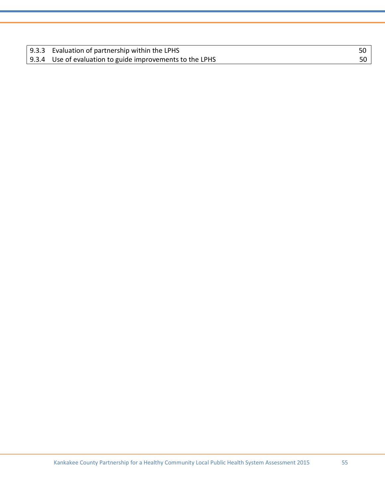| 9.3.3 Evaluation of partnership within the LPHS           | 50 |
|-----------------------------------------------------------|----|
| 9.3.4 Use of evaluation to guide improvements to the LPHS | 50 |